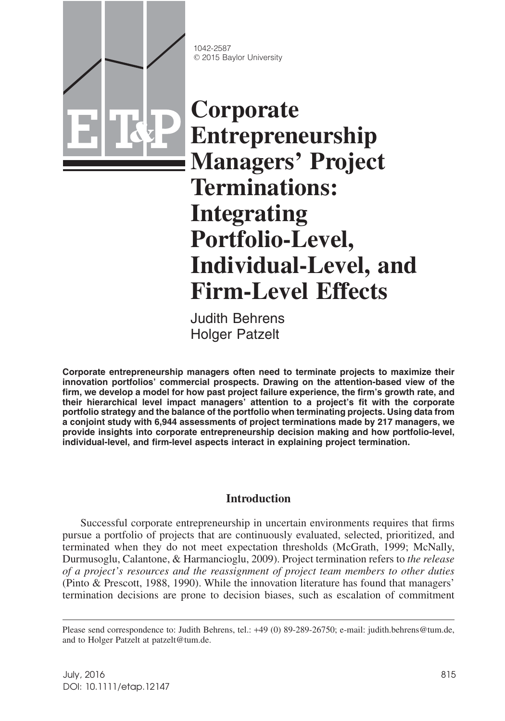

1042-2587 © 2015 Baylor University

**Corporate Entrepreneurship Managers' Project Terminations: Integrating Portfolio-Level, Individual-Level, and Firm-Level Effects**

Judith Behrens Holger Patzelt

**Corporate entrepreneurship managers often need to terminate projects to maximize their innovation portfolios' commercial prospects. Drawing on the attention-based view of the firm, we develop a model for how past project failure experience, the firm's growth rate, and their hierarchical level impact managers' attention to a project's fit with the corporate portfolio strategy and the balance of the portfolio when terminating projects. Using data from a conjoint study with 6,944 assessments of project terminations made by 217 managers, we provide insights into corporate entrepreneurship decision making and how portfolio-level, individual-level, and firm-level aspects interact in explaining project termination.**

# **Introduction**

Successful corporate entrepreneurship in uncertain environments requires that firms pursue a portfolio of projects that are continuously evaluated, selected, prioritized, and terminated when they do not meet expectation thresholds (McGrath, 1999; McNally, Durmusoglu, Calantone, & Harmancioglu, 2009). Project termination refers to *the release of a project's resources and the reassignment of project team members to other duties* (Pinto & Prescott, 1988, 1990). While the innovation literature has found that managers' termination decisions are prone to decision biases, such as escalation of commitment

Please send correspondence to: Judith Behrens, tel.: +49 (0) 89-289-26750; e-mail: judith.behrens@tum.de, and to Holger Patzelt at patzelt@tum.de.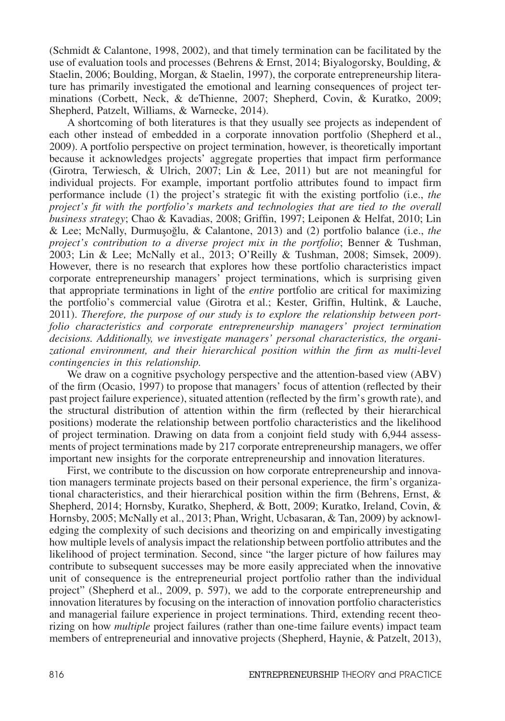(Schmidt & Calantone, 1998, 2002), and that timely termination can be facilitated by the use of evaluation tools and processes (Behrens & Ernst, 2014; Biyalogorsky, Boulding, & Staelin, 2006; Boulding, Morgan, & Staelin, 1997), the corporate entrepreneurship literature has primarily investigated the emotional and learning consequences of project terminations (Corbett, Neck, & deThienne, 2007; Shepherd, Covin, & Kuratko, 2009; Shepherd, Patzelt, Williams, & Warnecke, 2014).

A shortcoming of both literatures is that they usually see projects as independent of each other instead of embedded in a corporate innovation portfolio (Shepherd et al., 2009). A portfolio perspective on project termination, however, is theoretically important because it acknowledges projects' aggregate properties that impact firm performance (Girotra, Terwiesch, & Ulrich, 2007; Lin & Lee, 2011) but are not meaningful for individual projects. For example, important portfolio attributes found to impact firm performance include (1) the project's strategic fit with the existing portfolio (i.e., *the project's fit with the portfolio's markets and technologies that are tied to the overall business strategy*; Chao & Kavadias, 2008; Griffin, 1997; Leiponen & Helfat, 2010; Lin & Lee; McNally, Durmusoğlu, & Calantone, 2013) and (2) portfolio balance (i.e., *the project's contribution to a diverse project mix in the portfolio*; Benner & Tushman, 2003; Lin & Lee; McNally et al., 2013; O'Reilly & Tushman, 2008; Simsek, 2009). However, there is no research that explores how these portfolio characteristics impact corporate entrepreneurship managers' project terminations, which is surprising given that appropriate terminations in light of the *entire* portfolio are critical for maximizing the portfolio's commercial value (Girotra et al.; Kester, Griffin, Hultink, & Lauche, 2011). *Therefore, the purpose of our study is to explore the relationship between portfolio characteristics and corporate entrepreneurship managers' project termination decisions. Additionally, we investigate managers' personal characteristics, the organizational environment, and their hierarchical position within the firm as multi-level contingencies in this relationship.*

We draw on a cognitive psychology perspective and the attention-based view (ABV) of the firm (Ocasio, 1997) to propose that managers' focus of attention (reflected by their past project failure experience), situated attention (reflected by the firm's growth rate), and the structural distribution of attention within the firm (reflected by their hierarchical positions) moderate the relationship between portfolio characteristics and the likelihood of project termination. Drawing on data from a conjoint field study with 6,944 assessments of project terminations made by 217 corporate entrepreneurship managers, we offer important new insights for the corporate entrepreneurship and innovation literatures.

First, we contribute to the discussion on how corporate entrepreneurship and innovation managers terminate projects based on their personal experience, the firm's organizational characteristics, and their hierarchical position within the firm (Behrens, Ernst, & Shepherd, 2014; Hornsby, Kuratko, Shepherd, & Bott, 2009; Kuratko, Ireland, Covin, & Hornsby, 2005; McNally et al., 2013; Phan, Wright, Ucbasaran, & Tan, 2009) by acknowledging the complexity of such decisions and theorizing on and empirically investigating how multiple levels of analysis impact the relationship between portfolio attributes and the likelihood of project termination. Second, since "the larger picture of how failures may contribute to subsequent successes may be more easily appreciated when the innovative unit of consequence is the entrepreneurial project portfolio rather than the individual project" (Shepherd et al., 2009, p. 597), we add to the corporate entrepreneurship and innovation literatures by focusing on the interaction of innovation portfolio characteristics and managerial failure experience in project terminations. Third, extending recent theorizing on how *multiple* project failures (rather than one-time failure events) impact team members of entrepreneurial and innovative projects (Shepherd, Haynie, & Patzelt, 2013),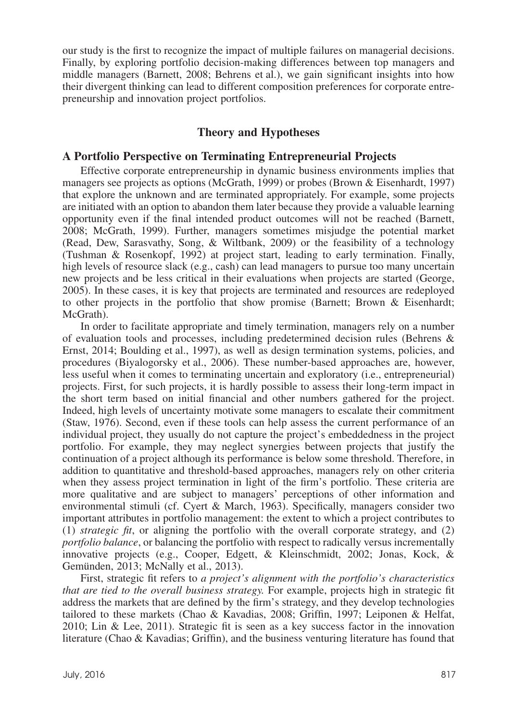our study is the first to recognize the impact of multiple failures on managerial decisions. Finally, by exploring portfolio decision-making differences between top managers and middle managers (Barnett, 2008; Behrens et al.), we gain significant insights into how their divergent thinking can lead to different composition preferences for corporate entrepreneurship and innovation project portfolios.

# **Theory and Hypotheses**

### **A Portfolio Perspective on Terminating Entrepreneurial Projects**

Effective corporate entrepreneurship in dynamic business environments implies that managers see projects as options (McGrath, 1999) or probes (Brown & Eisenhardt, 1997) that explore the unknown and are terminated appropriately. For example, some projects are initiated with an option to abandon them later because they provide a valuable learning opportunity even if the final intended product outcomes will not be reached (Barnett, 2008; McGrath, 1999). Further, managers sometimes misjudge the potential market (Read, Dew, Sarasvathy, Song, & Wiltbank, 2009) or the feasibility of a technology (Tushman & Rosenkopf, 1992) at project start, leading to early termination. Finally, high levels of resource slack (e.g., cash) can lead managers to pursue too many uncertain new projects and be less critical in their evaluations when projects are started (George, 2005). In these cases, it is key that projects are terminated and resources are redeployed to other projects in the portfolio that show promise (Barnett; Brown & Eisenhardt; McGrath).

In order to facilitate appropriate and timely termination, managers rely on a number of evaluation tools and processes, including predetermined decision rules (Behrens & Ernst, 2014; Boulding et al., 1997), as well as design termination systems, policies, and procedures (Biyalogorsky et al., 2006). These number-based approaches are, however, less useful when it comes to terminating uncertain and exploratory (i.e., entrepreneurial) projects. First, for such projects, it is hardly possible to assess their long-term impact in the short term based on initial financial and other numbers gathered for the project. Indeed, high levels of uncertainty motivate some managers to escalate their commitment (Staw, 1976). Second, even if these tools can help assess the current performance of an individual project, they usually do not capture the project's embeddedness in the project portfolio. For example, they may neglect synergies between projects that justify the continuation of a project although its performance is below some threshold. Therefore, in addition to quantitative and threshold-based approaches, managers rely on other criteria when they assess project termination in light of the firm's portfolio. These criteria are more qualitative and are subject to managers' perceptions of other information and environmental stimuli (cf. Cyert & March, 1963). Specifically, managers consider two important attributes in portfolio management: the extent to which a project contributes to (1) *strategic fit*, or aligning the portfolio with the overall corporate strategy, and (2) *portfolio balance*, or balancing the portfolio with respect to radically versus incrementally innovative projects (e.g., Cooper, Edgett, & Kleinschmidt, 2002; Jonas, Kock, & Gemünden, 2013; McNally et al., 2013).

First, strategic fit refers to *a project's alignment with the portfolio's characteristics that are tied to the overall business strategy.* For example, projects high in strategic fit address the markets that are defined by the firm's strategy, and they develop technologies tailored to these markets (Chao & Kavadias, 2008; Griffin, 1997; Leiponen & Helfat, 2010; Lin & Lee, 2011). Strategic fit is seen as a key success factor in the innovation literature (Chao & Kavadias; Griffin), and the business venturing literature has found that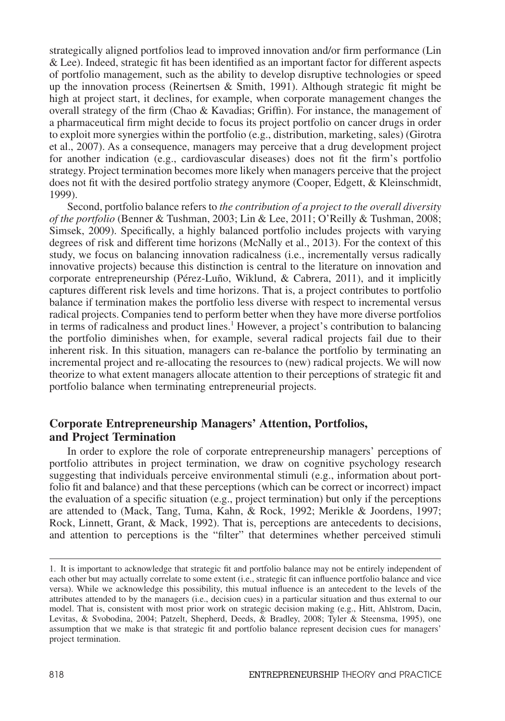strategically aligned portfolios lead to improved innovation and/or firm performance (Lin & Lee). Indeed, strategic fit has been identified as an important factor for different aspects of portfolio management, such as the ability to develop disruptive technologies or speed up the innovation process (Reinertsen  $\&$  Smith, 1991). Although strategic fit might be high at project start, it declines, for example, when corporate management changes the overall strategy of the firm (Chao & Kavadias; Griffin). For instance, the management of a pharmaceutical firm might decide to focus its project portfolio on cancer drugs in order to exploit more synergies within the portfolio (e.g., distribution, marketing, sales) (Girotra et al., 2007). As a consequence, managers may perceive that a drug development project for another indication (e.g., cardiovascular diseases) does not fit the firm's portfolio strategy. Project termination becomes more likely when managers perceive that the project does not fit with the desired portfolio strategy anymore (Cooper, Edgett, & Kleinschmidt, 1999).

Second, portfolio balance refers to *the contribution of a project to the overall diversity of the portfolio* (Benner & Tushman, 2003; Lin & Lee, 2011; O'Reilly & Tushman, 2008; Simsek, 2009). Specifically, a highly balanced portfolio includes projects with varying degrees of risk and different time horizons (McNally et al., 2013). For the context of this study, we focus on balancing innovation radicalness (i.e., incrementally versus radically innovative projects) because this distinction is central to the literature on innovation and corporate entrepreneurship (Pérez-Luño, Wiklund, & Cabrera, 2011), and it implicitly captures different risk levels and time horizons. That is, a project contributes to portfolio balance if termination makes the portfolio less diverse with respect to incremental versus radical projects. Companies tend to perform better when they have more diverse portfolios in terms of radicalness and product lines.<sup>1</sup> However, a project's contribution to balancing the portfolio diminishes when, for example, several radical projects fail due to their inherent risk. In this situation, managers can re-balance the portfolio by terminating an incremental project and re-allocating the resources to (new) radical projects. We will now theorize to what extent managers allocate attention to their perceptions of strategic fit and portfolio balance when terminating entrepreneurial projects.

# **Corporate Entrepreneurship Managers' Attention, Portfolios, and Project Termination**

In order to explore the role of corporate entrepreneurship managers' perceptions of portfolio attributes in project termination, we draw on cognitive psychology research suggesting that individuals perceive environmental stimuli (e.g., information about portfolio fit and balance) and that these perceptions (which can be correct or incorrect) impact the evaluation of a specific situation (e.g., project termination) but only if the perceptions are attended to (Mack, Tang, Tuma, Kahn, & Rock, 1992; Merikle & Joordens, 1997; Rock, Linnett, Grant, & Mack, 1992). That is, perceptions are antecedents to decisions, and attention to perceptions is the "filter" that determines whether perceived stimuli

<sup>1.</sup> It is important to acknowledge that strategic fit and portfolio balance may not be entirely independent of each other but may actually correlate to some extent (i.e., strategic fit can influence portfolio balance and vice versa). While we acknowledge this possibility, this mutual influence is an antecedent to the levels of the attributes attended to by the managers (i.e., decision cues) in a particular situation and thus external to our model. That is, consistent with most prior work on strategic decision making (e.g., Hitt, Ahlstrom, Dacin, Levitas, & Svobodina, 2004; Patzelt, Shepherd, Deeds, & Bradley, 2008; Tyler & Steensma, 1995), one assumption that we make is that strategic fit and portfolio balance represent decision cues for managers' project termination.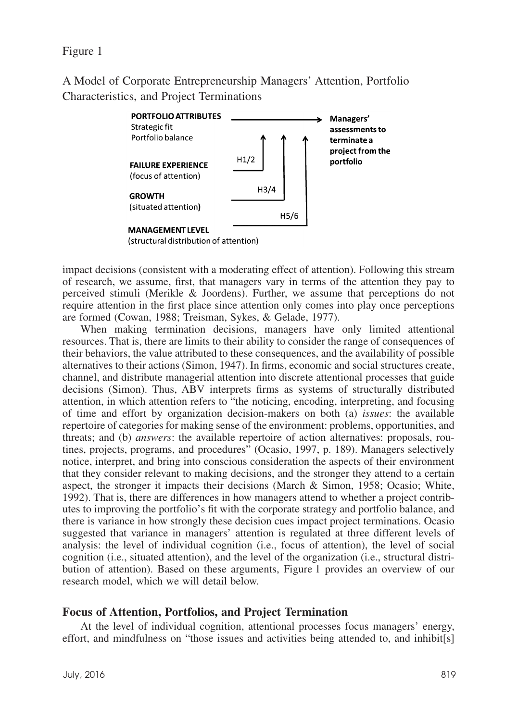Figure 1

A Model of Corporate Entrepreneurship Managers' Attention, Portfolio Characteristics, and Project Terminations



impact decisions (consistent with a moderating effect of attention). Following this stream of research, we assume, first, that managers vary in terms of the attention they pay to perceived stimuli (Merikle & Joordens). Further, we assume that perceptions do not require attention in the first place since attention only comes into play once perceptions are formed (Cowan, 1988; Treisman, Sykes, & Gelade, 1977).

When making termination decisions, managers have only limited attentional resources. That is, there are limits to their ability to consider the range of consequences of their behaviors, the value attributed to these consequences, and the availability of possible alternatives to their actions (Simon, 1947). In firms, economic and social structures create, channel, and distribute managerial attention into discrete attentional processes that guide decisions (Simon). Thus, ABV interprets firms as systems of structurally distributed attention, in which attention refers to "the noticing, encoding, interpreting, and focusing of time and effort by organization decision-makers on both (a) *issues*: the available repertoire of categories for making sense of the environment: problems, opportunities, and threats; and (b) *answers*: the available repertoire of action alternatives: proposals, routines, projects, programs, and procedures" (Ocasio, 1997, p. 189). Managers selectively notice, interpret, and bring into conscious consideration the aspects of their environment that they consider relevant to making decisions, and the stronger they attend to a certain aspect, the stronger it impacts their decisions (March & Simon, 1958; Ocasio; White, 1992). That is, there are differences in how managers attend to whether a project contributes to improving the portfolio's fit with the corporate strategy and portfolio balance, and there is variance in how strongly these decision cues impact project terminations. Ocasio suggested that variance in managers' attention is regulated at three different levels of analysis: the level of individual cognition (i.e., focus of attention), the level of social cognition (i.e., situated attention), and the level of the organization (i.e., structural distribution of attention). Based on these arguments, Figure 1 provides an overview of our research model, which we will detail below.

# **Focus of Attention, Portfolios, and Project Termination**

At the level of individual cognition, attentional processes focus managers' energy, effort, and mindfulness on "those issues and activities being attended to, and inhibit[s]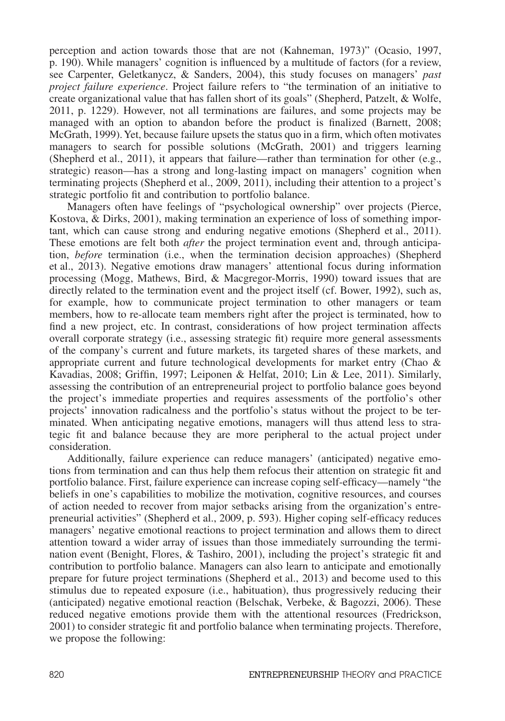perception and action towards those that are not (Kahneman, 1973)" (Ocasio, 1997, p. 190). While managers' cognition is influenced by a multitude of factors (for a review, see Carpenter, Geletkanycz, & Sanders, 2004), this study focuses on managers' *past project failure experience*. Project failure refers to "the termination of an initiative to create organizational value that has fallen short of its goals" (Shepherd, Patzelt, & Wolfe, 2011, p. 1229). However, not all terminations are failures, and some projects may be managed with an option to abandon before the product is finalized (Barnett, 2008; McGrath, 1999). Yet, because failure upsets the status quo in a firm, which often motivates managers to search for possible solutions (McGrath, 2001) and triggers learning (Shepherd et al., 2011), it appears that failure—rather than termination for other (e.g., strategic) reason—has a strong and long-lasting impact on managers' cognition when terminating projects (Shepherd et al., 2009, 2011), including their attention to a project's strategic portfolio fit and contribution to portfolio balance.

Managers often have feelings of "psychological ownership" over projects (Pierce, Kostova, & Dirks, 2001), making termination an experience of loss of something important, which can cause strong and enduring negative emotions (Shepherd et al., 2011). These emotions are felt both *after* the project termination event and, through anticipation, *before* termination (i.e., when the termination decision approaches) (Shepherd et al., 2013). Negative emotions draw managers' attentional focus during information processing (Mogg, Mathews, Bird, & Macgregor-Morris, 1990) toward issues that are directly related to the termination event and the project itself (cf. Bower, 1992), such as, for example, how to communicate project termination to other managers or team members, how to re-allocate team members right after the project is terminated, how to find a new project, etc. In contrast, considerations of how project termination affects overall corporate strategy (i.e., assessing strategic fit) require more general assessments of the company's current and future markets, its targeted shares of these markets, and appropriate current and future technological developments for market entry (Chao & Kavadias, 2008; Griffin, 1997; Leiponen & Helfat, 2010; Lin & Lee, 2011). Similarly, assessing the contribution of an entrepreneurial project to portfolio balance goes beyond the project's immediate properties and requires assessments of the portfolio's other projects' innovation radicalness and the portfolio's status without the project to be terminated. When anticipating negative emotions, managers will thus attend less to strategic fit and balance because they are more peripheral to the actual project under consideration.

Additionally, failure experience can reduce managers' (anticipated) negative emotions from termination and can thus help them refocus their attention on strategic fit and portfolio balance. First, failure experience can increase coping self-efficacy—namely "the beliefs in one's capabilities to mobilize the motivation, cognitive resources, and courses of action needed to recover from major setbacks arising from the organization's entrepreneurial activities" (Shepherd et al., 2009, p. 593). Higher coping self-efficacy reduces managers' negative emotional reactions to project termination and allows them to direct attention toward a wider array of issues than those immediately surrounding the termination event (Benight, Flores, & Tashiro, 2001), including the project's strategic fit and contribution to portfolio balance. Managers can also learn to anticipate and emotionally prepare for future project terminations (Shepherd et al., 2013) and become used to this stimulus due to repeated exposure (i.e., habituation), thus progressively reducing their (anticipated) negative emotional reaction (Belschak, Verbeke, & Bagozzi, 2006). These reduced negative emotions provide them with the attentional resources (Fredrickson, 2001) to consider strategic fit and portfolio balance when terminating projects. Therefore, we propose the following: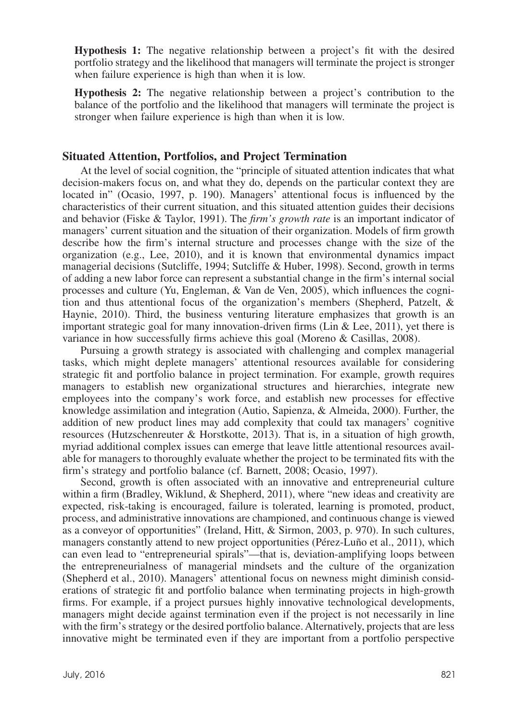**Hypothesis 1:** The negative relationship between a project's fit with the desired portfolio strategy and the likelihood that managers will terminate the project is stronger when failure experience is high than when it is low.

**Hypothesis 2:** The negative relationship between a project's contribution to the balance of the portfolio and the likelihood that managers will terminate the project is stronger when failure experience is high than when it is low.

## **Situated Attention, Portfolios, and Project Termination**

At the level of social cognition, the "principle of situated attention indicates that what decision-makers focus on, and what they do, depends on the particular context they are located in" (Ocasio, 1997, p. 190). Managers' attentional focus is influenced by the characteristics of their current situation, and this situated attention guides their decisions and behavior (Fiske & Taylor, 1991). The *firm's growth rate* is an important indicator of managers' current situation and the situation of their organization. Models of firm growth describe how the firm's internal structure and processes change with the size of the organization (e.g., Lee, 2010), and it is known that environmental dynamics impact managerial decisions (Sutcliffe, 1994; Sutcliffe & Huber, 1998). Second, growth in terms of adding a new labor force can represent a substantial change in the firm's internal social processes and culture (Yu, Engleman, & Van de Ven, 2005), which influences the cognition and thus attentional focus of the organization's members (Shepherd, Patzelt, & Haynie, 2010). Third, the business venturing literature emphasizes that growth is an important strategic goal for many innovation-driven firms (Lin & Lee, 2011), yet there is variance in how successfully firms achieve this goal (Moreno & Casillas, 2008).

Pursuing a growth strategy is associated with challenging and complex managerial tasks, which might deplete managers' attentional resources available for considering strategic fit and portfolio balance in project termination. For example, growth requires managers to establish new organizational structures and hierarchies, integrate new employees into the company's work force, and establish new processes for effective knowledge assimilation and integration (Autio, Sapienza, & Almeida, 2000). Further, the addition of new product lines may add complexity that could tax managers' cognitive resources (Hutzschenreuter & Horstkotte, 2013). That is, in a situation of high growth, myriad additional complex issues can emerge that leave little attentional resources available for managers to thoroughly evaluate whether the project to be terminated fits with the firm's strategy and portfolio balance (cf. Barnett, 2008; Ocasio, 1997).

Second, growth is often associated with an innovative and entrepreneurial culture within a firm (Bradley, Wiklund, & Shepherd, 2011), where "new ideas and creativity are expected, risk-taking is encouraged, failure is tolerated, learning is promoted, product, process, and administrative innovations are championed, and continuous change is viewed as a conveyor of opportunities" (Ireland, Hitt, & Sirmon, 2003, p. 970). In such cultures, managers constantly attend to new project opportunities (Pérez-Luño et al., 2011), which can even lead to "entrepreneurial spirals"—that is, deviation-amplifying loops between the entrepreneurialness of managerial mindsets and the culture of the organization (Shepherd et al., 2010). Managers' attentional focus on newness might diminish considerations of strategic fit and portfolio balance when terminating projects in high-growth firms. For example, if a project pursues highly innovative technological developments, managers might decide against termination even if the project is not necessarily in line with the firm's strategy or the desired portfolio balance. Alternatively, projects that are less innovative might be terminated even if they are important from a portfolio perspective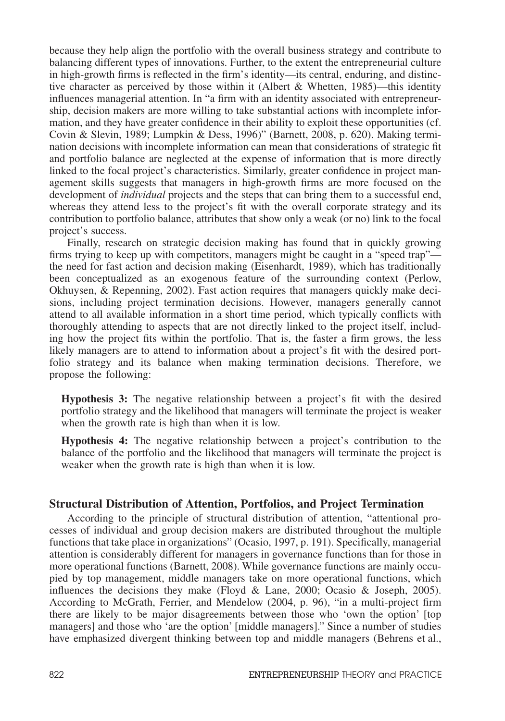because they help align the portfolio with the overall business strategy and contribute to balancing different types of innovations. Further, to the extent the entrepreneurial culture in high-growth firms is reflected in the firm's identity—its central, enduring, and distinctive character as perceived by those within it (Albert & Whetten, 1985)—this identity influences managerial attention. In "a firm with an identity associated with entrepreneurship, decision makers are more willing to take substantial actions with incomplete information, and they have greater confidence in their ability to exploit these opportunities (cf. Covin & Slevin, 1989; Lumpkin & Dess, 1996)" (Barnett, 2008, p. 620). Making termination decisions with incomplete information can mean that considerations of strategic fit and portfolio balance are neglected at the expense of information that is more directly linked to the focal project's characteristics. Similarly, greater confidence in project management skills suggests that managers in high-growth firms are more focused on the development of *individual* projects and the steps that can bring them to a successful end, whereas they attend less to the project's fit with the overall corporate strategy and its contribution to portfolio balance, attributes that show only a weak (or no) link to the focal project's success.

Finally, research on strategic decision making has found that in quickly growing firms trying to keep up with competitors, managers might be caught in a "speed trap" the need for fast action and decision making (Eisenhardt, 1989), which has traditionally been conceptualized as an exogenous feature of the surrounding context (Perlow, Okhuysen, & Repenning, 2002). Fast action requires that managers quickly make decisions, including project termination decisions. However, managers generally cannot attend to all available information in a short time period, which typically conflicts with thoroughly attending to aspects that are not directly linked to the project itself, including how the project fits within the portfolio. That is, the faster a firm grows, the less likely managers are to attend to information about a project's fit with the desired portfolio strategy and its balance when making termination decisions. Therefore, we propose the following:

**Hypothesis 3:** The negative relationship between a project's fit with the desired portfolio strategy and the likelihood that managers will terminate the project is weaker when the growth rate is high than when it is low.

**Hypothesis 4:** The negative relationship between a project's contribution to the balance of the portfolio and the likelihood that managers will terminate the project is weaker when the growth rate is high than when it is low.

#### **Structural Distribution of Attention, Portfolios, and Project Termination**

According to the principle of structural distribution of attention, "attentional processes of individual and group decision makers are distributed throughout the multiple functions that take place in organizations" (Ocasio, 1997, p. 191). Specifically, managerial attention is considerably different for managers in governance functions than for those in more operational functions (Barnett, 2008). While governance functions are mainly occupied by top management, middle managers take on more operational functions, which influences the decisions they make (Floyd & Lane, 2000; Ocasio & Joseph, 2005). According to McGrath, Ferrier, and Mendelow (2004, p. 96), "in a multi-project firm there are likely to be major disagreements between those who 'own the option' [top managers] and those who 'are the option' [middle managers]." Since a number of studies have emphasized divergent thinking between top and middle managers (Behrens et al.,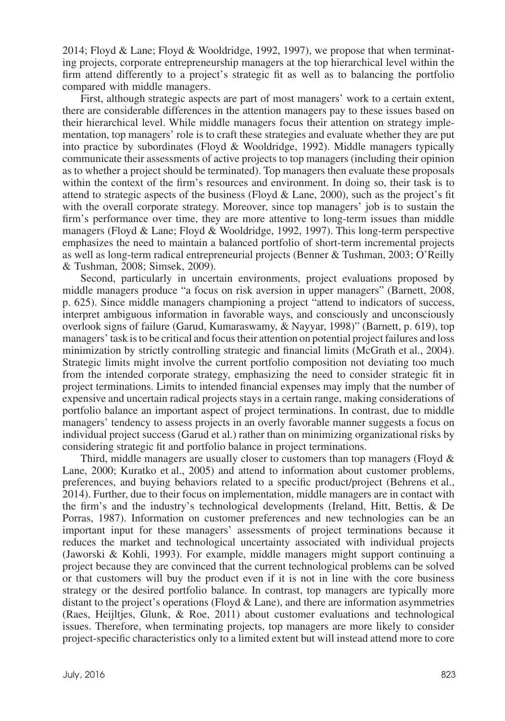2014; Floyd & Lane; Floyd & Wooldridge, 1992, 1997), we propose that when terminating projects, corporate entrepreneurship managers at the top hierarchical level within the firm attend differently to a project's strategic fit as well as to balancing the portfolio compared with middle managers.

First, although strategic aspects are part of most managers' work to a certain extent, there are considerable differences in the attention managers pay to these issues based on their hierarchical level. While middle managers focus their attention on strategy implementation, top managers' role is to craft these strategies and evaluate whether they are put into practice by subordinates (Floyd & Wooldridge, 1992). Middle managers typically communicate their assessments of active projects to top managers (including their opinion as to whether a project should be terminated). Top managers then evaluate these proposals within the context of the firm's resources and environment. In doing so, their task is to attend to strategic aspects of the business (Floyd & Lane, 2000), such as the project's fit with the overall corporate strategy. Moreover, since top managers' job is to sustain the firm's performance over time, they are more attentive to long-term issues than middle managers (Floyd & Lane; Floyd & Wooldridge, 1992, 1997). This long-term perspective emphasizes the need to maintain a balanced portfolio of short-term incremental projects as well as long-term radical entrepreneurial projects (Benner & Tushman, 2003; O'Reilly & Tushman, 2008; Simsek, 2009).

Second, particularly in uncertain environments, project evaluations proposed by middle managers produce "a focus on risk aversion in upper managers" (Barnett, 2008, p. 625). Since middle managers championing a project "attend to indicators of success, interpret ambiguous information in favorable ways, and consciously and unconsciously overlook signs of failure (Garud, Kumaraswamy, & Nayyar, 1998)" (Barnett, p. 619), top managers' task is to be critical and focus their attention on potential project failures and loss minimization by strictly controlling strategic and financial limits (McGrath et al., 2004). Strategic limits might involve the current portfolio composition not deviating too much from the intended corporate strategy, emphasizing the need to consider strategic fit in project terminations. Limits to intended financial expenses may imply that the number of expensive and uncertain radical projects stays in a certain range, making considerations of portfolio balance an important aspect of project terminations. In contrast, due to middle managers' tendency to assess projects in an overly favorable manner suggests a focus on individual project success (Garud et al.) rather than on minimizing organizational risks by considering strategic fit and portfolio balance in project terminations.

Third, middle managers are usually closer to customers than top managers (Floyd  $\&$ Lane, 2000; Kuratko et al., 2005) and attend to information about customer problems, preferences, and buying behaviors related to a specific product/project (Behrens et al., 2014). Further, due to their focus on implementation, middle managers are in contact with the firm's and the industry's technological developments (Ireland, Hitt, Bettis, & De Porras, 1987). Information on customer preferences and new technologies can be an important input for these managers' assessments of project terminations because it reduces the market and technological uncertainty associated with individual projects (Jaworski & Kohli, 1993). For example, middle managers might support continuing a project because they are convinced that the current technological problems can be solved or that customers will buy the product even if it is not in line with the core business strategy or the desired portfolio balance. In contrast, top managers are typically more distant to the project's operations (Floyd  $&$  Lane), and there are information asymmetries (Raes, Heijltjes, Glunk, & Roe, 2011) about customer evaluations and technological issues. Therefore, when terminating projects, top managers are more likely to consider project-specific characteristics only to a limited extent but will instead attend more to core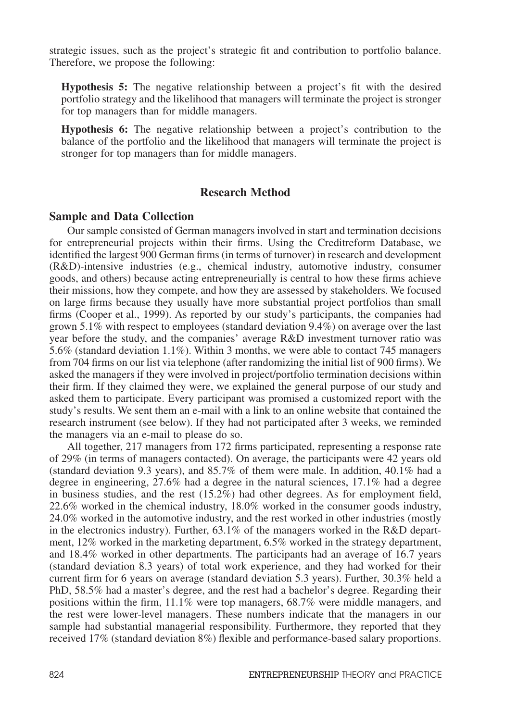strategic issues, such as the project's strategic fit and contribution to portfolio balance. Therefore, we propose the following:

**Hypothesis 5:** The negative relationship between a project's fit with the desired portfolio strategy and the likelihood that managers will terminate the project is stronger for top managers than for middle managers.

**Hypothesis 6:** The negative relationship between a project's contribution to the balance of the portfolio and the likelihood that managers will terminate the project is stronger for top managers than for middle managers.

#### **Research Method**

#### **Sample and Data Collection**

Our sample consisted of German managers involved in start and termination decisions for entrepreneurial projects within their firms. Using the Creditreform Database, we identified the largest 900 German firms (in terms of turnover) in research and development (R&D)-intensive industries (e.g., chemical industry, automotive industry, consumer goods, and others) because acting entrepreneurially is central to how these firms achieve their missions, how they compete, and how they are assessed by stakeholders. We focused on large firms because they usually have more substantial project portfolios than small firms (Cooper et al., 1999). As reported by our study's participants, the companies had grown 5.1% with respect to employees (standard deviation 9.4%) on average over the last year before the study, and the companies' average R&D investment turnover ratio was 5.6% (standard deviation 1.1%). Within 3 months, we were able to contact 745 managers from 704 firms on our list via telephone (after randomizing the initial list of 900 firms). We asked the managers if they were involved in project/portfolio termination decisions within their firm. If they claimed they were, we explained the general purpose of our study and asked them to participate. Every participant was promised a customized report with the study's results. We sent them an e-mail with a link to an online website that contained the research instrument (see below). If they had not participated after 3 weeks, we reminded the managers via an e-mail to please do so.

All together, 217 managers from 172 firms participated, representing a response rate of 29% (in terms of managers contacted). On average, the participants were 42 years old (standard deviation 9.3 years), and 85.7% of them were male. In addition, 40.1% had a degree in engineering, 27.6% had a degree in the natural sciences, 17.1% had a degree in business studies, and the rest (15.2%) had other degrees. As for employment field, 22.6% worked in the chemical industry, 18.0% worked in the consumer goods industry, 24.0% worked in the automotive industry, and the rest worked in other industries (mostly in the electronics industry). Further,  $63.1\%$  of the managers worked in the R&D department, 12% worked in the marketing department, 6.5% worked in the strategy department, and 18.4% worked in other departments. The participants had an average of 16.7 years (standard deviation 8.3 years) of total work experience, and they had worked for their current firm for 6 years on average (standard deviation 5.3 years). Further, 30.3% held a PhD, 58.5% had a master's degree, and the rest had a bachelor's degree. Regarding their positions within the firm, 11.1% were top managers, 68.7% were middle managers, and the rest were lower-level managers. These numbers indicate that the managers in our sample had substantial managerial responsibility. Furthermore, they reported that they received 17% (standard deviation 8%) flexible and performance-based salary proportions.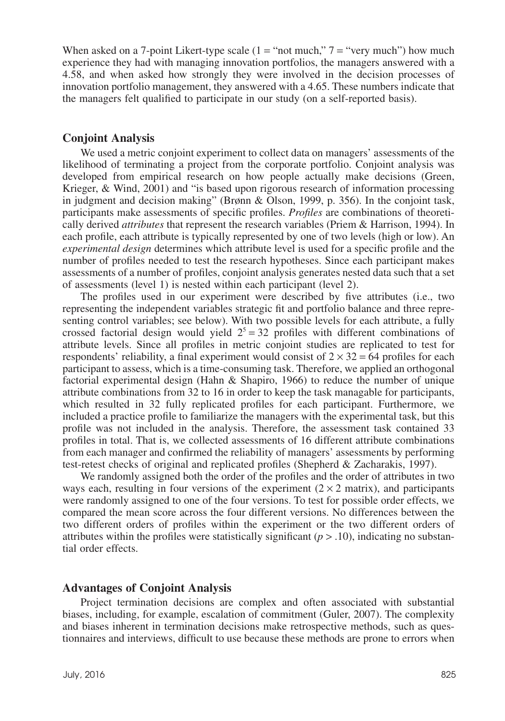When asked on a 7-point Likert-type scale  $(1 = "not much," 7 = "very much")$  how much experience they had with managing innovation portfolios, the managers answered with a 4.58, and when asked how strongly they were involved in the decision processes of innovation portfolio management, they answered with a 4.65. These numbers indicate that the managers felt qualified to participate in our study (on a self-reported basis).

#### **Conjoint Analysis**

We used a metric conjoint experiment to collect data on managers' assessments of the likelihood of terminating a project from the corporate portfolio. Conjoint analysis was developed from empirical research on how people actually make decisions (Green, Krieger, & Wind, 2001) and "is based upon rigorous research of information processing in judgment and decision making" (Brønn & Olson, 1999, p. 356). In the conjoint task, participants make assessments of specific profiles. *Profiles* are combinations of theoretically derived *attributes* that represent the research variables (Priem & Harrison, 1994). In each profile, each attribute is typically represented by one of two levels (high or low). An *experimental design* determines which attribute level is used for a specific profile and the number of profiles needed to test the research hypotheses. Since each participant makes assessments of a number of profiles, conjoint analysis generates nested data such that a set of assessments (level 1) is nested within each participant (level 2).

The profiles used in our experiment were described by five attributes (i.e., two representing the independent variables strategic fit and portfolio balance and three representing control variables; see below). With two possible levels for each attribute, a fully crossed factorial design would yield  $2^5 = 32$  profiles with different combinations of attribute levels. Since all profiles in metric conjoint studies are replicated to test for respondents' reliability, a final experiment would consist of  $2 \times 32 = 64$  profiles for each participant to assess, which is a time-consuming task. Therefore, we applied an orthogonal factorial experimental design (Hahn & Shapiro, 1966) to reduce the number of unique attribute combinations from 32 to 16 in order to keep the task managable for participants, which resulted in 32 fully replicated profiles for each participant. Furthermore, we included a practice profile to familiarize the managers with the experimental task, but this profile was not included in the analysis. Therefore, the assessment task contained 33 profiles in total. That is, we collected assessments of 16 different attribute combinations from each manager and confirmed the reliability of managers' assessments by performing test-retest checks of original and replicated profiles (Shepherd & Zacharakis, 1997).

We randomly assigned both the order of the profiles and the order of attributes in two ways each, resulting in four versions of the experiment  $(2 \times 2 \text{ matrix})$ , and participants were randomly assigned to one of the four versions. To test for possible order effects, we compared the mean score across the four different versions. No differences between the two different orders of profiles within the experiment or the two different orders of attributes within the profiles were statistically significant  $(p > .10)$ , indicating no substantial order effects.

## **Advantages of Conjoint Analysis**

Project termination decisions are complex and often associated with substantial biases, including, for example, escalation of commitment (Guler, 2007). The complexity and biases inherent in termination decisions make retrospective methods, such as questionnaires and interviews, difficult to use because these methods are prone to errors when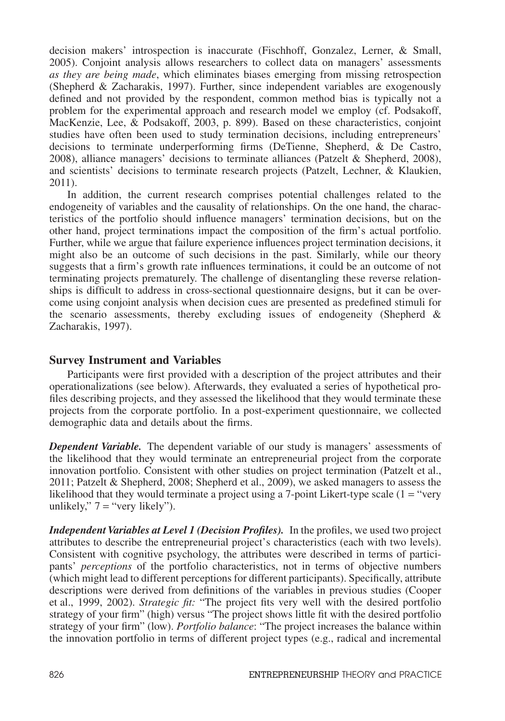decision makers' introspection is inaccurate (Fischhoff, Gonzalez, Lerner, & Small, 2005). Conjoint analysis allows researchers to collect data on managers' assessments *as they are being made*, which eliminates biases emerging from missing retrospection (Shepherd & Zacharakis, 1997). Further, since independent variables are exogenously defined and not provided by the respondent, common method bias is typically not a problem for the experimental approach and research model we employ (cf. Podsakoff, MacKenzie, Lee, & Podsakoff, 2003, p. 899). Based on these characteristics, conjoint studies have often been used to study termination decisions, including entrepreneurs' decisions to terminate underperforming firms (DeTienne, Shepherd, & De Castro, 2008), alliance managers' decisions to terminate alliances (Patzelt & Shepherd, 2008), and scientists' decisions to terminate research projects (Patzelt, Lechner, & Klaukien, 2011).

In addition, the current research comprises potential challenges related to the endogeneity of variables and the causality of relationships. On the one hand, the characteristics of the portfolio should influence managers' termination decisions, but on the other hand, project terminations impact the composition of the firm's actual portfolio. Further, while we argue that failure experience influences project termination decisions, it might also be an outcome of such decisions in the past. Similarly, while our theory suggests that a firm's growth rate influences terminations, it could be an outcome of not terminating projects prematurely. The challenge of disentangling these reverse relationships is difficult to address in cross-sectional questionnaire designs, but it can be overcome using conjoint analysis when decision cues are presented as predefined stimuli for the scenario assessments, thereby excluding issues of endogeneity (Shepherd & Zacharakis, 1997).

## **Survey Instrument and Variables**

Participants were first provided with a description of the project attributes and their operationalizations (see below). Afterwards, they evaluated a series of hypothetical profiles describing projects, and they assessed the likelihood that they would terminate these projects from the corporate portfolio. In a post-experiment questionnaire, we collected demographic data and details about the firms.

*Dependent Variable.* The dependent variable of our study is managers' assessments of the likelihood that they would terminate an entrepreneurial project from the corporate innovation portfolio. Consistent with other studies on project termination (Patzelt et al., 2011; Patzelt & Shepherd, 2008; Shepherd et al., 2009), we asked managers to assess the likelihood that they would terminate a project using a 7-point Likert-type scale  $(1 = "very$ unlikely,"  $7 =$  "very likely").

*Independent Variables at Level 1 (Decision Profiles).* In the profiles, we used two project attributes to describe the entrepreneurial project's characteristics (each with two levels). Consistent with cognitive psychology, the attributes were described in terms of participants' *perceptions* of the portfolio characteristics, not in terms of objective numbers (which might lead to different perceptions for different participants). Specifically, attribute descriptions were derived from definitions of the variables in previous studies (Cooper et al., 1999, 2002). *Strategic fit:* "The project fits very well with the desired portfolio strategy of your firm" (high) versus "The project shows little fit with the desired portfolio strategy of your firm" (low). *Portfolio balance*: "The project increases the balance within the innovation portfolio in terms of different project types (e.g., radical and incremental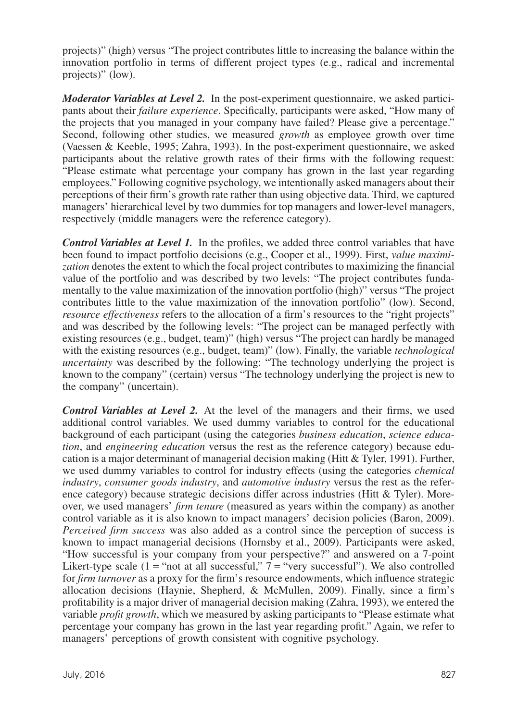projects)" (high) versus "The project contributes little to increasing the balance within the innovation portfolio in terms of different project types (e.g., radical and incremental projects)" (low).

*Moderator Variables at Level 2.* In the post-experiment questionnaire, we asked participants about their *failure experience*. Specifically, participants were asked, "How many of the projects that you managed in your company have failed? Please give a percentage." Second, following other studies, we measured *growth* as employee growth over time (Vaessen & Keeble, 1995; Zahra, 1993). In the post-experiment questionnaire, we asked participants about the relative growth rates of their firms with the following request: "Please estimate what percentage your company has grown in the last year regarding employees." Following cognitive psychology, we intentionally asked managers about their perceptions of their firm's growth rate rather than using objective data. Third, we captured managers' hierarchical level by two dummies for top managers and lower-level managers, respectively (middle managers were the reference category).

*Control Variables at Level 1.* In the profiles, we added three control variables that have been found to impact portfolio decisions (e.g., Cooper et al., 1999). First, *value maximization* denotes the extent to which the focal project contributes to maximizing the financial value of the portfolio and was described by two levels: "The project contributes fundamentally to the value maximization of the innovation portfolio (high)" versus "The project contributes little to the value maximization of the innovation portfolio" (low). Second, *resource effectiveness* refers to the allocation of a firm's resources to the "right projects" and was described by the following levels: "The project can be managed perfectly with existing resources (e.g., budget, team)" (high) versus "The project can hardly be managed with the existing resources (e.g., budget, team)" (low). Finally, the variable *technological uncertainty* was described by the following: "The technology underlying the project is known to the company" (certain) versus "The technology underlying the project is new to the company" (uncertain).

*Control Variables at Level 2.* At the level of the managers and their firms, we used additional control variables. We used dummy variables to control for the educational background of each participant (using the categories *business education*, *science education*, and *engineering education* versus the rest as the reference category) because education is a major determinant of managerial decision making (Hitt & Tyler, 1991). Further, we used dummy variables to control for industry effects (using the categories *chemical industry*, *consumer goods industry*, and *automotive industry* versus the rest as the reference category) because strategic decisions differ across industries (Hitt & Tyler). Moreover, we used managers' *firm tenure* (measured as years within the company) as another control variable as it is also known to impact managers' decision policies (Baron, 2009). *Perceived firm success* was also added as a control since the perception of success is known to impact managerial decisions (Hornsby et al., 2009). Participants were asked, "How successful is your company from your perspective?" and answered on a 7-point Likert-type scale  $(1 = "not at all successful," 7 = "very successful").$  We also controlled for *firm turnover* as a proxy for the firm's resource endowments, which influence strategic allocation decisions (Haynie, Shepherd, & McMullen, 2009). Finally, since a firm's profitability is a major driver of managerial decision making (Zahra, 1993), we entered the variable *profit growth*, which we measured by asking participants to "Please estimate what percentage your company has grown in the last year regarding profit." Again, we refer to managers' perceptions of growth consistent with cognitive psychology.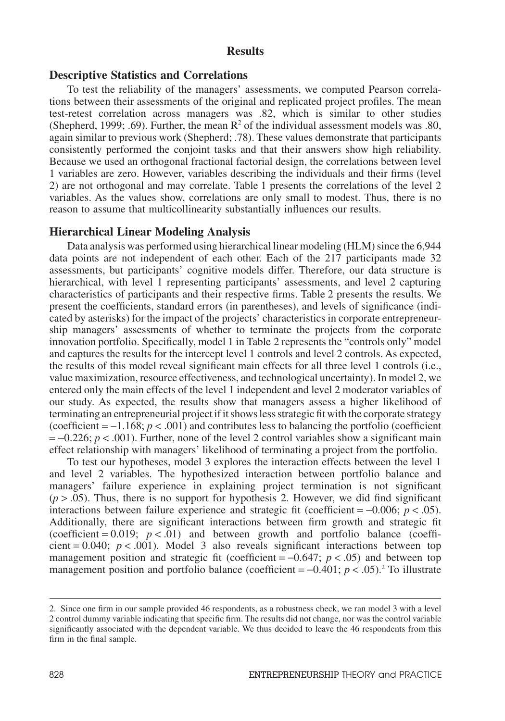#### **Results**

### **Descriptive Statistics and Correlations**

To test the reliability of the managers' assessments, we computed Pearson correlations between their assessments of the original and replicated project profiles. The mean test-retest correlation across managers was .82, which is similar to other studies (Shepherd, 1999; .69). Further, the mean  $R^2$  of the individual assessment models was .80, again similar to previous work (Shepherd; .78). These values demonstrate that participants consistently performed the conjoint tasks and that their answers show high reliability. Because we used an orthogonal fractional factorial design, the correlations between level 1 variables are zero. However, variables describing the individuals and their firms (level 2) are not orthogonal and may correlate. Table 1 presents the correlations of the level 2 variables. As the values show, correlations are only small to modest. Thus, there is no reason to assume that multicollinearity substantially influences our results.

#### **Hierarchical Linear Modeling Analysis**

Data analysis was performed using hierarchical linear modeling (HLM) since the 6,944 data points are not independent of each other. Each of the 217 participants made 32 assessments, but participants' cognitive models differ. Therefore, our data structure is hierarchical, with level 1 representing participants' assessments, and level 2 capturing characteristics of participants and their respective firms. Table 2 presents the results. We present the coefficients, standard errors (in parentheses), and levels of significance (indicated by asterisks) for the impact of the projects' characteristics in corporate entrepreneurship managers' assessments of whether to terminate the projects from the corporate innovation portfolio. Specifically, model 1 in Table 2 represents the "controls only" model and captures the results for the intercept level 1 controls and level 2 controls. As expected, the results of this model reveal significant main effects for all three level 1 controls (i.e., value maximization, resource effectiveness, and technological uncertainty). In model 2, we entered only the main effects of the level 1 independent and level 2 moderator variables of our study. As expected, the results show that managers assess a higher likelihood of terminating an entrepreneurial project if it shows less strategic fit with the corporate strategy (coefficient =  $-1.168$ ; *p* < .001) and contributes less to balancing the portfolio (coefficient  $= -0.226$ ;  $p < .001$ ). Further, none of the level 2 control variables show a significant main effect relationship with managers' likelihood of terminating a project from the portfolio.

To test our hypotheses, model 3 explores the interaction effects between the level 1 and level 2 variables. The hypothesized interaction between portfolio balance and managers' failure experience in explaining project termination is not significant  $(p > .05)$ . Thus, there is no support for hypothesis 2. However, we did find significant interactions between failure experience and strategic fit (coefficient  $= -0.006$ ;  $p < .05$ ). Additionally, there are significant interactions between firm growth and strategic fit (coefficient =  $0.019$ ;  $p < .01$ ) and between growth and portfolio balance (coefficient =  $0.040$ ;  $p < .001$ ). Model 3 also reveals significant interactions between top management position and strategic fit (coefficient =  $-0.647$ ;  $p < .05$ ) and between top management position and portfolio balance (coefficient =  $-0.401$ ; *p* < .05).<sup>2</sup> To illustrate

<sup>2.</sup> Since one firm in our sample provided 46 respondents, as a robustness check, we ran model 3 with a level 2 control dummy variable indicating that specific firm. The results did not change, nor was the control variable significantly associated with the dependent variable. We thus decided to leave the 46 respondents from this firm in the final sample.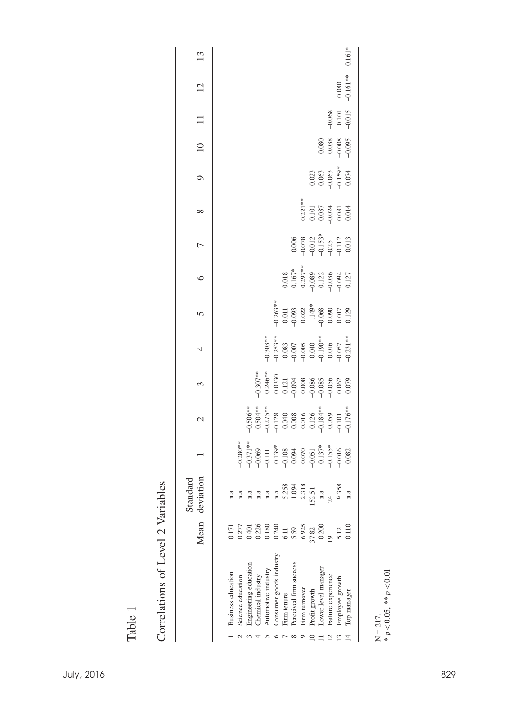|                         |               | Standard<br>Mean deviation        |       | $\overline{\mathcal{C}}$ | 3                                                                                                                                                                                                                                                                     | 4                                                                                                                                | $\overline{0}$ | $\circ$                                                                                                                                      | $\overline{a}$                                                                                | $\infty$                                                                                                                        |                                                                            | 10                                     | $\frac{1}{2}$             | $\overline{c}$        | 13       |
|-------------------------|---------------|-----------------------------------|-------|--------------------------|-----------------------------------------------------------------------------------------------------------------------------------------------------------------------------------------------------------------------------------------------------------------------|----------------------------------------------------------------------------------------------------------------------------------|----------------|----------------------------------------------------------------------------------------------------------------------------------------------|-----------------------------------------------------------------------------------------------|---------------------------------------------------------------------------------------------------------------------------------|----------------------------------------------------------------------------|----------------------------------------|---------------------------|-----------------------|----------|
|                         |               |                                   |       |                          |                                                                                                                                                                                                                                                                       |                                                                                                                                  |                |                                                                                                                                              |                                                                                               |                                                                                                                                 |                                                                            |                                        |                           |                       |          |
| Business education      |               | n.a                               |       |                          |                                                                                                                                                                                                                                                                       |                                                                                                                                  |                |                                                                                                                                              |                                                                                               |                                                                                                                                 |                                                                            |                                        |                           |                       |          |
| Science education       | 0.277         | n.a                               |       |                          |                                                                                                                                                                                                                                                                       |                                                                                                                                  |                |                                                                                                                                              |                                                                                               |                                                                                                                                 |                                                                            |                                        |                           |                       |          |
| Engineering education   | 0.401         | n.a                               |       |                          |                                                                                                                                                                                                                                                                       |                                                                                                                                  |                |                                                                                                                                              |                                                                                               |                                                                                                                                 |                                                                            |                                        |                           |                       |          |
| Chemical industry       | 0.226         | n.a                               |       |                          | $0.307***$                                                                                                                                                                                                                                                            |                                                                                                                                  |                |                                                                                                                                              |                                                                                               |                                                                                                                                 |                                                                            |                                        |                           |                       |          |
| Automotive industry     | 0.180         | n.a                               |       |                          |                                                                                                                                                                                                                                                                       |                                                                                                                                  |                |                                                                                                                                              |                                                                                               |                                                                                                                                 |                                                                            |                                        |                           |                       |          |
| Consumer goods industry | 0.240         | n.a                               |       |                          |                                                                                                                                                                                                                                                                       |                                                                                                                                  |                |                                                                                                                                              |                                                                                               |                                                                                                                                 |                                                                            |                                        |                           |                       |          |
| Firm tenure             | $6.11$        | 5.258<br>1.094<br>2.318<br>152.51 |       |                          |                                                                                                                                                                                                                                                                       |                                                                                                                                  |                |                                                                                                                                              |                                                                                               |                                                                                                                                 |                                                                            |                                        |                           |                       |          |
| Perceived firm success  | 5.59<br>6.925 |                                   |       |                          |                                                                                                                                                                                                                                                                       |                                                                                                                                  |                |                                                                                                                                              |                                                                                               |                                                                                                                                 |                                                                            |                                        |                           |                       |          |
| Firm turnover           |               |                                   |       |                          |                                                                                                                                                                                                                                                                       |                                                                                                                                  |                |                                                                                                                                              |                                                                                               |                                                                                                                                 |                                                                            |                                        |                           |                       |          |
| Profit growth           | 37.82         |                                   |       |                          |                                                                                                                                                                                                                                                                       |                                                                                                                                  |                |                                                                                                                                              |                                                                                               |                                                                                                                                 |                                                                            |                                        |                           |                       |          |
| Lower level manager     | 0.200         | n.a                               |       |                          |                                                                                                                                                                                                                                                                       |                                                                                                                                  |                |                                                                                                                                              |                                                                                               |                                                                                                                                 |                                                                            |                                        |                           |                       |          |
| Failure experience      | $^{19}$       |                                   |       |                          |                                                                                                                                                                                                                                                                       |                                                                                                                                  |                |                                                                                                                                              |                                                                                               |                                                                                                                                 |                                                                            |                                        |                           |                       |          |
| Employee growth         | 5.12          | 9.358                             |       |                          | $\begin{array}{c} 246\%\\ 0.230\\ 0.0330\\ 0.030\\ 0.030\\ 0.030\\ 0.030\\ 0.008\\ 0.050\\ 0.000\\ 0.000\\ 0.000\\ 0.000\\ 0.000\\ 0.000\\ 0.000\\ 0.000\\ 0.000\\ 0.000\\ 0.000\\ 0.000\\ 0.000\\ 0.000\\ 0.000\\ 0.000\\ 0.000\\ 0.000\\ 0.000\\ 0.000\\ 0.000\\ 0$ | $\begin{array}{l} 303**\\ -0.253**\\ 0.083\\ 0.007\\ -0.0007\\ -0.004\\ 0.019\\ -0.057\\ -0.037\\ -0.037\\ -0.037\\ \end{array}$ |                | $\begin{array}{l} 0.018 \\ 0.167^* \\ 0.297^{* \ast} \\ 0.297^{* \ast} \\ 0.089 \\ 0.122 \\ 0.036 \\ 0.127 \\ 0.034 \\ 0.127 \\ \end{array}$ | $\begin{array}{c} 0.006 \\ 0.078 \\ -0.012 \\ -0.153 \\ -0.25 \\ -0.112 \\ 0.013 \end{array}$ | $\begin{array}{l} \n 0.21 \text{\scriptsize{**}} \\ \n 0.101 \\ \n 0.087 \\ \n 0.024 \\ \n 0.031 \\ \n 0.014 \\ \n \end{array}$ | $0.023$<br>$0.063$<br>$0.063$<br>$0.15$ <sup>*</sup><br>$0.074$<br>$0.074$ | $0.080$<br>$0.038$<br>$0.06$<br>$0.05$ | $0.068$<br>0.101<br>0.015 | $0.080$<br>$-0.161**$ |          |
| Top manager             | 0.110         | n.a                               | 0.082 |                          |                                                                                                                                                                                                                                                                       |                                                                                                                                  |                |                                                                                                                                              |                                                                                               |                                                                                                                                 |                                                                            |                                        |                           |                       | $0.161*$ |
|                         |               |                                   |       |                          |                                                                                                                                                                                                                                                                       |                                                                                                                                  |                |                                                                                                                                              |                                                                                               |                                                                                                                                 |                                                                            |                                        |                           |                       |          |

 $N = 217.$ *p* < 0.05, \*\* *p* < 0.01

Table 1

Correlations of Level 2 Variables

Correlations of Level 2 Variables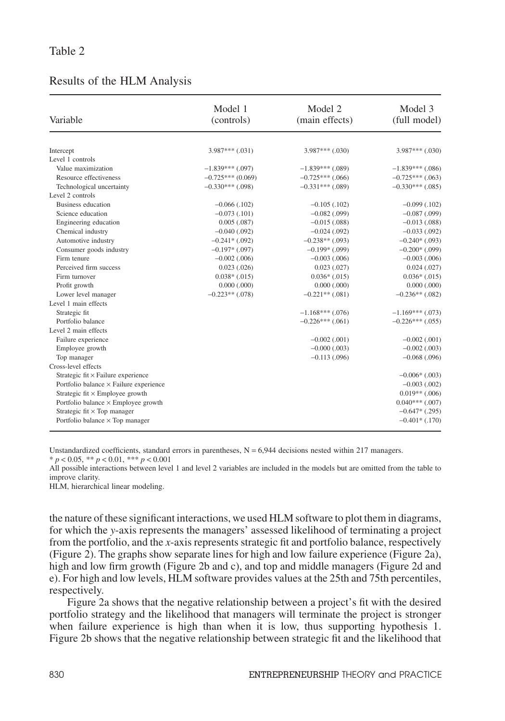## Results of the HLM Analysis

| Variable                                      | Model 1<br>(controls) | Model 2<br>(main effects) | Model 3<br>(full model) |
|-----------------------------------------------|-----------------------|---------------------------|-------------------------|
|                                               |                       |                           |                         |
| Intercept                                     | $3.987***(031)$       | $3.987***(030)$           | $3.987***(030)$         |
| Level 1 controls                              |                       |                           |                         |
| Value maximization                            | $-1.839***$ (.097)    | $-1.839***$ (.089)        | $-1.839***$ (.086)      |
| Resource effectiveness                        | $-0.725***(0.069)$    | $-0.725***$ (.066)        | $-0.725***$ (.063)      |
| Technological uncertainty                     | $-0.330***$ (.098)    | $-0.331***$ (.089)        | $-0.330***$ (.085)      |
| Level 2 controls                              |                       |                           |                         |
| <b>Business education</b>                     | $-0.066$ (.102)       | $-0.105$ (.102)           | $-0.099$ (.102)         |
| Science education                             | $-0.073(0.101)$       | $-0.082$ (.099)           | $-0.087$ (.099)         |
| Engineering education                         | 0.005(.087)           | $-0.015(0.088)$           | $-0.013(0.088)$         |
| Chemical industry                             | $-0.040$ (.092)       | $-0.024(0.092)$           | $-0.033(0.092)$         |
| Automotive industry                           | $-0.241*(.092)$       | $-0.238**$ (.093)         | $-0.240*(.093)$         |
| Consumer goods industry                       | $-0.197*(.097)$       | $-0.199*(0.099)$          | $-0.200*(.099)$         |
| Firm tenure                                   | $-0.002$ (.006)       | $-0.003$ (.006)           | $-0.003$ (.006)         |
| Perceived firm success                        | 0.023(0.026)          | 0.023(0.027)              | 0.024(.027)             |
| Firm turnover                                 | $0.038*(.015)$        | $0.036*(0.015)$           | $0.036*(.015)$          |
| Profit growth                                 | 0.000(0.000)          | 0.000(0.000)              | 0.000(0.000)            |
| Lower level manager                           | $-0.223**$ (.078)     | $-0.221**$ (.081)         | $-0.236**$ (.082)       |
| Level 1 main effects                          |                       |                           |                         |
| Strategic fit                                 |                       | $-1.168***$ (.076)        | $-1.169***$ (.073)      |
| Portfolio balance                             |                       | $-0.226***$ (.061)        | $-0.226***$ (.055)      |
| Level 2 main effects                          |                       |                           |                         |
| Failure experience                            |                       | $-0.002$ (.001)           | $-0.002$ (.001)         |
| Employee growth                               |                       | $-0.000$ (.003)           | $-0.002$ (.003)         |
| Top manager                                   |                       | $-0.113(0.096)$           | $-0.068$ (.096)         |
| Cross-level effects                           |                       |                           |                         |
| Strategic fit $\times$ Failure experience     |                       |                           | $-0.006*(0.003)$        |
| Portfolio balance $\times$ Failure experience |                       |                           | $-0.003$ (.002)         |
| Strategic fit $\times$ Employee growth        |                       |                           | $0.019**$ (.006)        |
| Portfolio balance $\times$ Employee growth    |                       |                           | $0.040***$ (.007)       |
| Strategic fit $\times$ Top manager            |                       |                           | $-0.647$ * (.295)       |
| Portfolio balance × Top manager               |                       |                           | $-0.401*(0.170)$        |

Unstandardized coefficients, standard errors in parentheses,  $N = 6,944$  decisions nested within 217 managers.

\* *p* < 0.05, \*\* *p* < 0.01, \*\*\* *p* < 0.001

All possible interactions between level 1 and level 2 variables are included in the models but are omitted from the table to improve clarity.

HLM, hierarchical linear modeling.

the nature of these significant interactions, we used HLM software to plot them in diagrams, for which the *y*-axis represents the managers' assessed likelihood of terminating a project from the portfolio, and the *x*-axis represents strategic fit and portfolio balance, respectively (Figure 2). The graphs show separate lines for high and low failure experience (Figure 2a), high and low firm growth (Figure 2b and c), and top and middle managers (Figure 2d and e). For high and low levels, HLM software provides values at the 25th and 75th percentiles, respectively.

Figure 2a shows that the negative relationship between a project's fit with the desired portfolio strategy and the likelihood that managers will terminate the project is stronger when failure experience is high than when it is low, thus supporting hypothesis 1. Figure 2b shows that the negative relationship between strategic fit and the likelihood that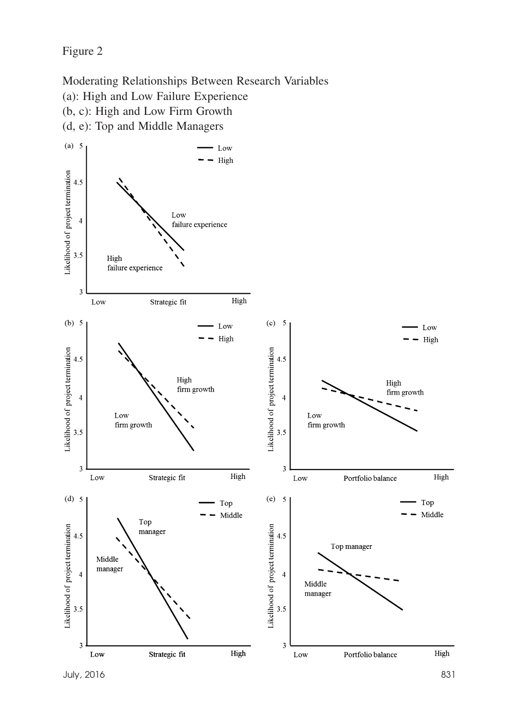Moderating Relationships Between Research Variables

(a): High and Low Failure Experience

(b, c): High and Low Firm Growth

(d, e): Top and Middle Managers

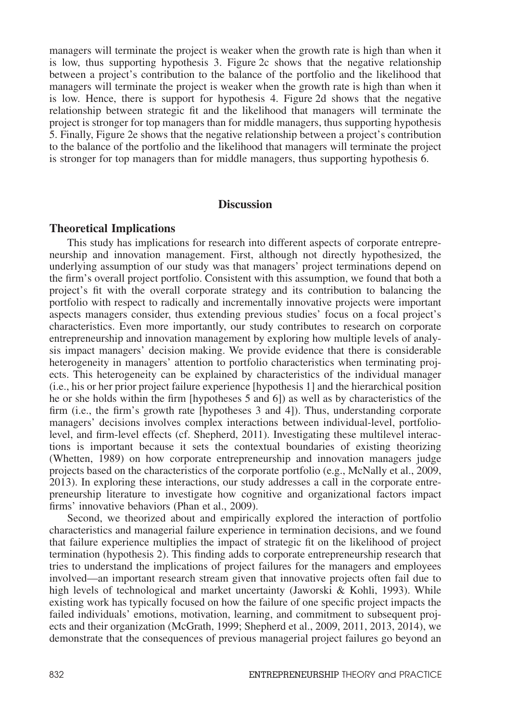managers will terminate the project is weaker when the growth rate is high than when it is low, thus supporting hypothesis 3. Figure 2c shows that the negative relationship between a project's contribution to the balance of the portfolio and the likelihood that managers will terminate the project is weaker when the growth rate is high than when it is low. Hence, there is support for hypothesis 4. Figure 2d shows that the negative relationship between strategic fit and the likelihood that managers will terminate the project is stronger for top managers than for middle managers, thus supporting hypothesis 5. Finally, Figure 2e shows that the negative relationship between a project's contribution to the balance of the portfolio and the likelihood that managers will terminate the project is stronger for top managers than for middle managers, thus supporting hypothesis 6.

#### **Discussion**

#### **Theoretical Implications**

This study has implications for research into different aspects of corporate entrepreneurship and innovation management. First, although not directly hypothesized, the underlying assumption of our study was that managers' project terminations depend on the firm's overall project portfolio. Consistent with this assumption, we found that both a project's fit with the overall corporate strategy and its contribution to balancing the portfolio with respect to radically and incrementally innovative projects were important aspects managers consider, thus extending previous studies' focus on a focal project's characteristics. Even more importantly, our study contributes to research on corporate entrepreneurship and innovation management by exploring how multiple levels of analysis impact managers' decision making. We provide evidence that there is considerable heterogeneity in managers' attention to portfolio characteristics when terminating projects. This heterogeneity can be explained by characteristics of the individual manager (i.e., his or her prior project failure experience [hypothesis 1] and the hierarchical position he or she holds within the firm [hypotheses 5 and 6]) as well as by characteristics of the firm (i.e., the firm's growth rate [hypotheses 3 and 4]). Thus, understanding corporate managers' decisions involves complex interactions between individual-level, portfoliolevel, and firm-level effects (cf. Shepherd, 2011). Investigating these multilevel interactions is important because it sets the contextual boundaries of existing theorizing (Whetten, 1989) on how corporate entrepreneurship and innovation managers judge projects based on the characteristics of the corporate portfolio (e.g., McNally et al., 2009, 2013). In exploring these interactions, our study addresses a call in the corporate entrepreneurship literature to investigate how cognitive and organizational factors impact firms' innovative behaviors (Phan et al., 2009).

Second, we theorized about and empirically explored the interaction of portfolio characteristics and managerial failure experience in termination decisions, and we found that failure experience multiplies the impact of strategic fit on the likelihood of project termination (hypothesis 2). This finding adds to corporate entrepreneurship research that tries to understand the implications of project failures for the managers and employees involved—an important research stream given that innovative projects often fail due to high levels of technological and market uncertainty (Jaworski & Kohli, 1993). While existing work has typically focused on how the failure of one specific project impacts the failed individuals' emotions, motivation, learning, and commitment to subsequent projects and their organization (McGrath, 1999; Shepherd et al., 2009, 2011, 2013, 2014), we demonstrate that the consequences of previous managerial project failures go beyond an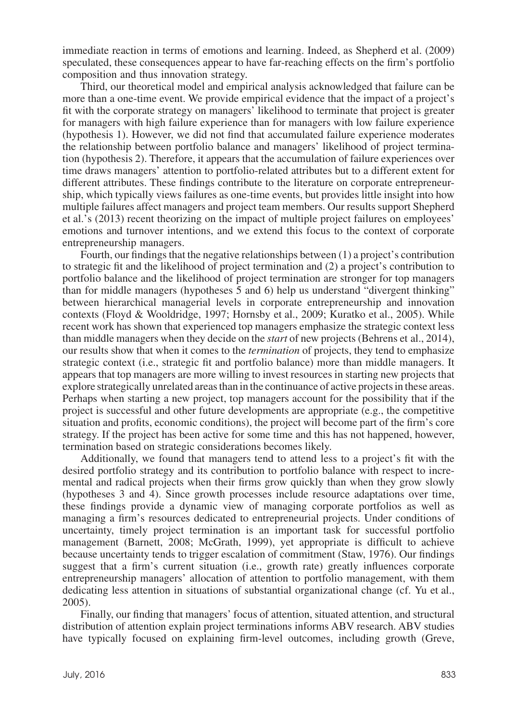immediate reaction in terms of emotions and learning. Indeed, as Shepherd et al. (2009) speculated, these consequences appear to have far-reaching effects on the firm's portfolio composition and thus innovation strategy.

Third, our theoretical model and empirical analysis acknowledged that failure can be more than a one-time event. We provide empirical evidence that the impact of a project's fit with the corporate strategy on managers' likelihood to terminate that project is greater for managers with high failure experience than for managers with low failure experience (hypothesis 1). However, we did not find that accumulated failure experience moderates the relationship between portfolio balance and managers' likelihood of project termination (hypothesis 2). Therefore, it appears that the accumulation of failure experiences over time draws managers' attention to portfolio-related attributes but to a different extent for different attributes. These findings contribute to the literature on corporate entrepreneurship, which typically views failures as one-time events, but provides little insight into how multiple failures affect managers and project team members. Our results support Shepherd et al.'s (2013) recent theorizing on the impact of multiple project failures on employees' emotions and turnover intentions, and we extend this focus to the context of corporate entrepreneurship managers.

Fourth, our findings that the negative relationships between (1) a project's contribution to strategic fit and the likelihood of project termination and (2) a project's contribution to portfolio balance and the likelihood of project termination are stronger for top managers than for middle managers (hypotheses 5 and 6) help us understand "divergent thinking" between hierarchical managerial levels in corporate entrepreneurship and innovation contexts (Floyd & Wooldridge, 1997; Hornsby et al., 2009; Kuratko et al., 2005). While recent work has shown that experienced top managers emphasize the strategic context less than middle managers when they decide on the *start* of new projects (Behrens et al., 2014), our results show that when it comes to the *termination* of projects, they tend to emphasize strategic context (i.e., strategic fit and portfolio balance) more than middle managers. It appears that top managers are more willing to invest resources in starting new projects that explore strategically unrelated areas than in the continuance of active projects in these areas. Perhaps when starting a new project, top managers account for the possibility that if the project is successful and other future developments are appropriate (e.g., the competitive situation and profits, economic conditions), the project will become part of the firm's core strategy. If the project has been active for some time and this has not happened, however, termination based on strategic considerations becomes likely.

Additionally, we found that managers tend to attend less to a project's fit with the desired portfolio strategy and its contribution to portfolio balance with respect to incremental and radical projects when their firms grow quickly than when they grow slowly (hypotheses 3 and 4). Since growth processes include resource adaptations over time, these findings provide a dynamic view of managing corporate portfolios as well as managing a firm's resources dedicated to entrepreneurial projects. Under conditions of uncertainty, timely project termination is an important task for successful portfolio management (Barnett, 2008; McGrath, 1999), yet appropriate is difficult to achieve because uncertainty tends to trigger escalation of commitment (Staw, 1976). Our findings suggest that a firm's current situation (i.e., growth rate) greatly influences corporate entrepreneurship managers' allocation of attention to portfolio management, with them dedicating less attention in situations of substantial organizational change (cf. Yu et al., 2005).

Finally, our finding that managers' focus of attention, situated attention, and structural distribution of attention explain project terminations informs ABV research. ABV studies have typically focused on explaining firm-level outcomes, including growth (Greve,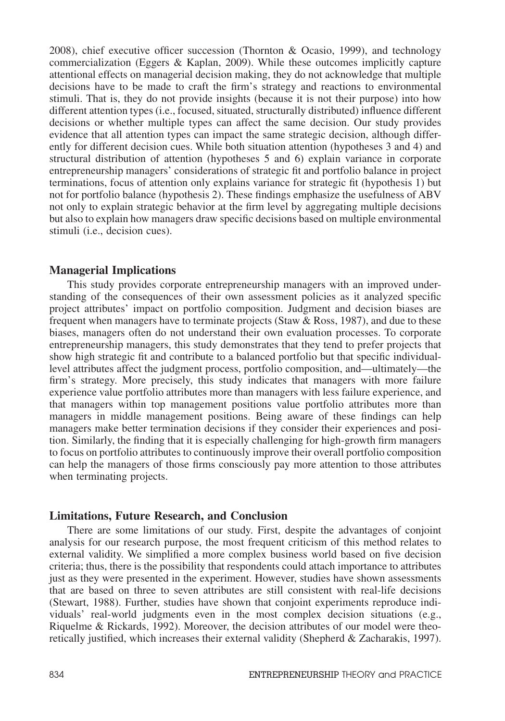2008), chief executive officer succession (Thornton & Ocasio, 1999), and technology commercialization (Eggers & Kaplan, 2009). While these outcomes implicitly capture attentional effects on managerial decision making, they do not acknowledge that multiple decisions have to be made to craft the firm's strategy and reactions to environmental stimuli. That is, they do not provide insights (because it is not their purpose) into how different attention types (i.e., focused, situated, structurally distributed) influence different decisions or whether multiple types can affect the same decision. Our study provides evidence that all attention types can impact the same strategic decision, although differently for different decision cues. While both situation attention (hypotheses 3 and 4) and structural distribution of attention (hypotheses 5 and 6) explain variance in corporate entrepreneurship managers' considerations of strategic fit and portfolio balance in project terminations, focus of attention only explains variance for strategic fit (hypothesis 1) but not for portfolio balance (hypothesis 2). These findings emphasize the usefulness of ABV not only to explain strategic behavior at the firm level by aggregating multiple decisions but also to explain how managers draw specific decisions based on multiple environmental stimuli (i.e., decision cues).

#### **Managerial Implications**

This study provides corporate entrepreneurship managers with an improved understanding of the consequences of their own assessment policies as it analyzed specific project attributes' impact on portfolio composition. Judgment and decision biases are frequent when managers have to terminate projects (Staw & Ross, 1987), and due to these biases, managers often do not understand their own evaluation processes. To corporate entrepreneurship managers, this study demonstrates that they tend to prefer projects that show high strategic fit and contribute to a balanced portfolio but that specific individuallevel attributes affect the judgment process, portfolio composition, and—ultimately—the firm's strategy. More precisely, this study indicates that managers with more failure experience value portfolio attributes more than managers with less failure experience, and that managers within top management positions value portfolio attributes more than managers in middle management positions. Being aware of these findings can help managers make better termination decisions if they consider their experiences and position. Similarly, the finding that it is especially challenging for high-growth firm managers to focus on portfolio attributes to continuously improve their overall portfolio composition can help the managers of those firms consciously pay more attention to those attributes when terminating projects.

## **Limitations, Future Research, and Conclusion**

There are some limitations of our study. First, despite the advantages of conjoint analysis for our research purpose, the most frequent criticism of this method relates to external validity. We simplified a more complex business world based on five decision criteria; thus, there is the possibility that respondents could attach importance to attributes just as they were presented in the experiment. However, studies have shown assessments that are based on three to seven attributes are still consistent with real-life decisions (Stewart, 1988). Further, studies have shown that conjoint experiments reproduce individuals' real-world judgments even in the most complex decision situations (e.g., Riquelme & Rickards, 1992). Moreover, the decision attributes of our model were theoretically justified, which increases their external validity (Shepherd & Zacharakis, 1997).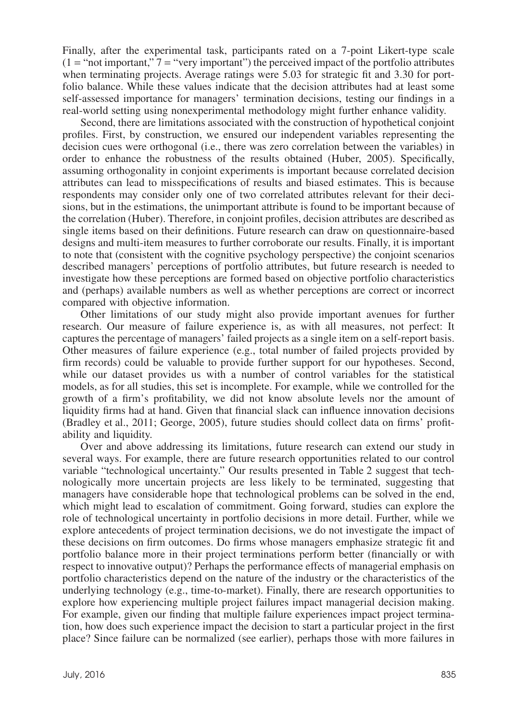Finally, after the experimental task, participants rated on a 7-point Likert-type scale  $(1 = "not important," 7 = "very important")$  the perceived impact of the portfolio attributes when terminating projects. Average ratings were 5.03 for strategic fit and 3.30 for portfolio balance. While these values indicate that the decision attributes had at least some self-assessed importance for managers' termination decisions, testing our findings in a real-world setting using nonexperimental methodology might further enhance validity.

Second, there are limitations associated with the construction of hypothetical conjoint profiles. First, by construction, we ensured our independent variables representing the decision cues were orthogonal (i.e., there was zero correlation between the variables) in order to enhance the robustness of the results obtained (Huber, 2005). Specifically, assuming orthogonality in conjoint experiments is important because correlated decision attributes can lead to misspecifications of results and biased estimates. This is because respondents may consider only one of two correlated attributes relevant for their decisions, but in the estimations, the unimportant attribute is found to be important because of the correlation (Huber). Therefore, in conjoint profiles, decision attributes are described as single items based on their definitions. Future research can draw on questionnaire-based designs and multi-item measures to further corroborate our results. Finally, it is important to note that (consistent with the cognitive psychology perspective) the conjoint scenarios described managers' perceptions of portfolio attributes, but future research is needed to investigate how these perceptions are formed based on objective portfolio characteristics and (perhaps) available numbers as well as whether perceptions are correct or incorrect compared with objective information.

Other limitations of our study might also provide important avenues for further research. Our measure of failure experience is, as with all measures, not perfect: It captures the percentage of managers' failed projects as a single item on a self-report basis. Other measures of failure experience (e.g., total number of failed projects provided by firm records) could be valuable to provide further support for our hypotheses. Second, while our dataset provides us with a number of control variables for the statistical models, as for all studies, this set is incomplete. For example, while we controlled for the growth of a firm's profitability, we did not know absolute levels nor the amount of liquidity firms had at hand. Given that financial slack can influence innovation decisions (Bradley et al., 2011; George, 2005), future studies should collect data on firms' profitability and liquidity.

Over and above addressing its limitations, future research can extend our study in several ways. For example, there are future research opportunities related to our control variable "technological uncertainty." Our results presented in Table 2 suggest that technologically more uncertain projects are less likely to be terminated, suggesting that managers have considerable hope that technological problems can be solved in the end, which might lead to escalation of commitment. Going forward, studies can explore the role of technological uncertainty in portfolio decisions in more detail. Further, while we explore antecedents of project termination decisions, we do not investigate the impact of these decisions on firm outcomes. Do firms whose managers emphasize strategic fit and portfolio balance more in their project terminations perform better (financially or with respect to innovative output)? Perhaps the performance effects of managerial emphasis on portfolio characteristics depend on the nature of the industry or the characteristics of the underlying technology (e.g., time-to-market). Finally, there are research opportunities to explore how experiencing multiple project failures impact managerial decision making. For example, given our finding that multiple failure experiences impact project termination, how does such experience impact the decision to start a particular project in the first place? Since failure can be normalized (see earlier), perhaps those with more failures in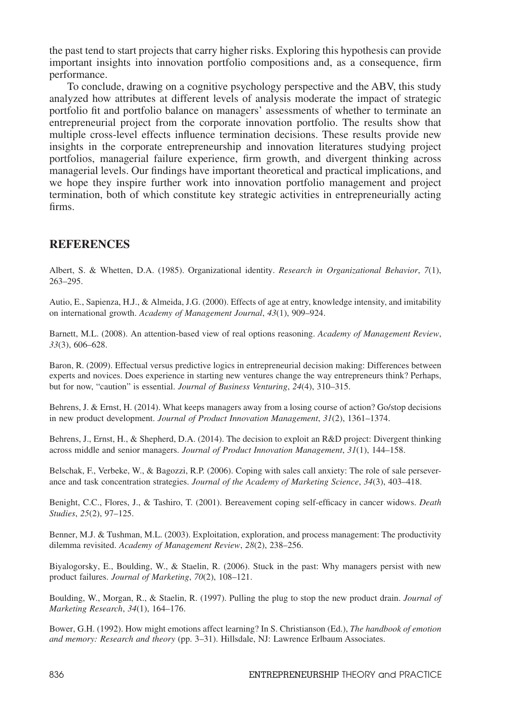the past tend to start projects that carry higher risks. Exploring this hypothesis can provide important insights into innovation portfolio compositions and, as a consequence, firm performance.

To conclude, drawing on a cognitive psychology perspective and the ABV, this study analyzed how attributes at different levels of analysis moderate the impact of strategic portfolio fit and portfolio balance on managers' assessments of whether to terminate an entrepreneurial project from the corporate innovation portfolio. The results show that multiple cross-level effects influence termination decisions. These results provide new insights in the corporate entrepreneurship and innovation literatures studying project portfolios, managerial failure experience, firm growth, and divergent thinking across managerial levels. Our findings have important theoretical and practical implications, and we hope they inspire further work into innovation portfolio management and project termination, both of which constitute key strategic activities in entrepreneurially acting firms.

# **REFERENCES**

Albert, S. & Whetten, D.A. (1985). Organizational identity. *Research in Organizational Behavior*, *7*(1), 263–295.

Autio, E., Sapienza, H.J., & Almeida, J.G. (2000). Effects of age at entry, knowledge intensity, and imitability on international growth. *Academy of Management Journal*, *43*(1), 909–924.

Barnett, M.L. (2008). An attention-based view of real options reasoning. *Academy of Management Review*, *33*(3), 606–628.

Baron, R. (2009). Effectual versus predictive logics in entrepreneurial decision making: Differences between experts and novices. Does experience in starting new ventures change the way entrepreneurs think? Perhaps, but for now, "caution" is essential. *Journal of Business Venturing*, *24*(4), 310–315.

Behrens, J. & Ernst, H. (2014). What keeps managers away from a losing course of action? Go/stop decisions in new product development. *Journal of Product Innovation Management*, *31*(2), 1361–1374.

Behrens, J., Ernst, H., & Shepherd, D.A. (2014). The decision to exploit an R&D project: Divergent thinking across middle and senior managers. *Journal of Product Innovation Management*, *31*(1), 144–158.

Belschak, F., Verbeke, W., & Bagozzi, R.P. (2006). Coping with sales call anxiety: The role of sale perseverance and task concentration strategies. *Journal of the Academy of Marketing Science*, *34*(3), 403–418.

Benight, C.C., Flores, J., & Tashiro, T. (2001). Bereavement coping self-efficacy in cancer widows. *Death Studies*, *25*(2), 97–125.

Benner, M.J. & Tushman, M.L. (2003). Exploitation, exploration, and process management: The productivity dilemma revisited. *Academy of Management Review*, *28*(2), 238–256.

Biyalogorsky, E., Boulding, W., & Staelin, R. (2006). Stuck in the past: Why managers persist with new product failures. *Journal of Marketing*, *70*(2), 108–121.

Boulding, W., Morgan, R., & Staelin, R. (1997). Pulling the plug to stop the new product drain. *Journal of Marketing Research*, *34*(1), 164–176.

Bower, G.H. (1992). How might emotions affect learning? In S. Christianson (Ed.), *The handbook of emotion and memory: Research and theory* (pp. 3–31). Hillsdale, NJ: Lawrence Erlbaum Associates.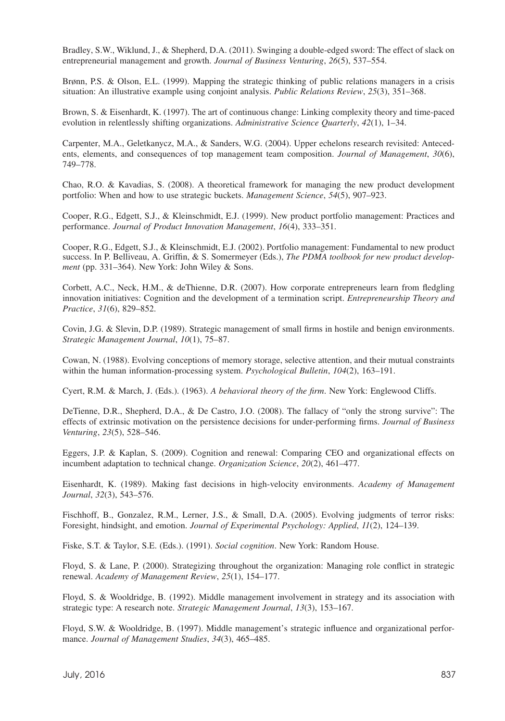Bradley, S.W., Wiklund, J., & Shepherd, D.A. (2011). Swinging a double-edged sword: The effect of slack on entrepreneurial management and growth. *Journal of Business Venturing*, *26*(5), 537–554.

Brønn, P.S. & Olson, E.L. (1999). Mapping the strategic thinking of public relations managers in a crisis situation: An illustrative example using conjoint analysis. *Public Relations Review*, *25*(3), 351–368.

Brown, S. & Eisenhardt, K. (1997). The art of continuous change: Linking complexity theory and time-paced evolution in relentlessly shifting organizations. *Administrative Science Quarterly*, *42*(1), 1–34.

Carpenter, M.A., Geletkanycz, M.A., & Sanders, W.G. (2004). Upper echelons research revisited: Antecedents, elements, and consequences of top management team composition. *Journal of Management*, *30*(6), 749–778.

Chao, R.O. & Kavadias, S. (2008). A theoretical framework for managing the new product development portfolio: When and how to use strategic buckets. *Management Science*, *54*(5), 907–923.

Cooper, R.G., Edgett, S.J., & Kleinschmidt, E.J. (1999). New product portfolio management: Practices and performance. *Journal of Product Innovation Management*, *16*(4), 333–351.

Cooper, R.G., Edgett, S.J., & Kleinschmidt, E.J. (2002). Portfolio management: Fundamental to new product success. In P. Belliveau, A. Griffin, & S. Somermeyer (Eds.), *The PDMA toolbook for new product development* (pp. 331–364). New York: John Wiley & Sons.

Corbett, A.C., Neck, H.M., & deThienne, D.R. (2007). How corporate entrepreneurs learn from fledgling innovation initiatives: Cognition and the development of a termination script. *Entrepreneurship Theory and Practice*, *31*(6), 829–852.

Covin, J.G. & Slevin, D.P. (1989). Strategic management of small firms in hostile and benign environments. *Strategic Management Journal*, *10*(1), 75–87.

Cowan, N. (1988). Evolving conceptions of memory storage, selective attention, and their mutual constraints within the human information-processing system. *Psychological Bulletin*, *104*(2), 163–191.

Cyert, R.M. & March, J. (Eds.). (1963). *A behavioral theory of the firm*. New York: Englewood Cliffs.

DeTienne, D.R., Shepherd, D.A., & De Castro, J.O. (2008). The fallacy of "only the strong survive": The effects of extrinsic motivation on the persistence decisions for under-performing firms. *Journal of Business Venturing*, *23*(5), 528–546.

Eggers, J.P. & Kaplan, S. (2009). Cognition and renewal: Comparing CEO and organizational effects on incumbent adaptation to technical change. *Organization Science*, *20*(2), 461–477.

Eisenhardt, K. (1989). Making fast decisions in high-velocity environments. *Academy of Management Journal*, *32*(3), 543–576.

Fischhoff, B., Gonzalez, R.M., Lerner, J.S., & Small, D.A. (2005). Evolving judgments of terror risks: Foresight, hindsight, and emotion. *Journal of Experimental Psychology: Applied*, *11*(2), 124–139.

Fiske, S.T. & Taylor, S.E. (Eds.). (1991). *Social cognition*. New York: Random House.

Floyd, S. & Lane, P. (2000). Strategizing throughout the organization: Managing role conflict in strategic renewal. *Academy of Management Review*, *25*(1), 154–177.

Floyd, S. & Wooldridge, B. (1992). Middle management involvement in strategy and its association with strategic type: A research note. *Strategic Management Journal*, *13*(3), 153–167.

Floyd, S.W. & Wooldridge, B. (1997). Middle management's strategic influence and organizational performance. *Journal of Management Studies*, *34*(3), 465–485.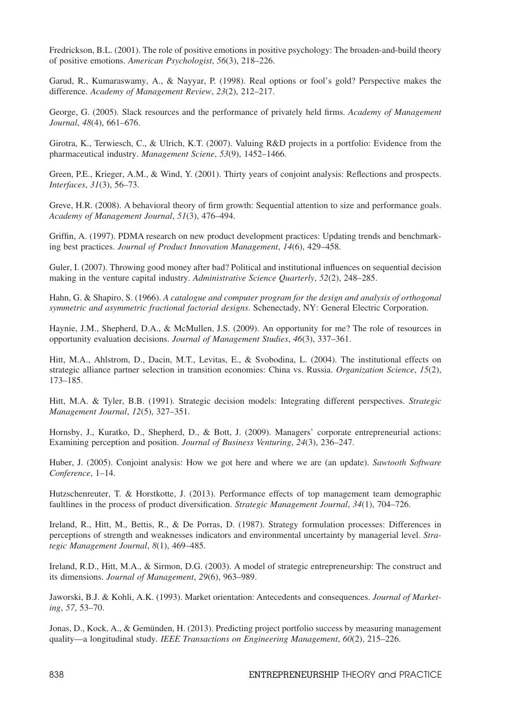Fredrickson, B.L. (2001). The role of positive emotions in positive psychology: The broaden-and-build theory of positive emotions. *American Psychologist*, *56*(3), 218–226.

Garud, R., Kumaraswamy, A., & Nayyar, P. (1998). Real options or fool's gold? Perspective makes the difference. *Academy of Management Review*, *23*(2), 212–217.

George, G. (2005). Slack resources and the performance of privately held firms. *Academy of Management Journal*, *48*(4), 661–676.

Girotra, K., Terwiesch, C., & Ulrich, K.T. (2007). Valuing R&D projects in a portfolio: Evidence from the pharmaceutical industry. *Management Sciene*, *53*(9), 1452–1466.

Green, P.E., Krieger, A.M., & Wind, Y. (2001). Thirty years of conjoint analysis: Reflections and prospects. *Interfaces*, *31*(3), 56–73.

Greve, H.R. (2008). A behavioral theory of firm growth: Sequential attention to size and performance goals. *Academy of Management Journal*, *51*(3), 476–494.

Griffin, A. (1997). PDMA research on new product development practices: Updating trends and benchmarking best practices. *Journal of Product Innovation Management*, *14*(6), 429–458.

Guler, I. (2007). Throwing good money after bad? Political and institutional influences on sequential decision making in the venture capital industry. *Administrative Science Quarterly*, *52*(2), 248–285.

Hahn, G. & Shapiro, S. (1966). *A catalogue and computer program for the design and analysis of orthogonal symmetric and asymmetric fractional factorial designs*. Schenectady, NY: General Electric Corporation.

Haynie, J.M., Shepherd, D.A., & McMullen, J.S. (2009). An opportunity for me? The role of resources in opportunity evaluation decisions. *Journal of Management Studies*, *46*(3), 337–361.

Hitt, M.A., Ahlstrom, D., Dacin, M.T., Levitas, E., & Svobodina, L. (2004). The institutional effects on strategic alliance partner selection in transition economies: China vs. Russia. *Organization Science*, *15*(2), 173–185.

Hitt, M.A. & Tyler, B.B. (1991). Strategic decision models: Integrating different perspectives. *Strategic Management Journal*, *12*(5), 327–351.

Hornsby, J., Kuratko, D., Shepherd, D., & Bott, J. (2009). Managers' corporate entrepreneurial actions: Examining perception and position. *Journal of Business Venturing*, *24*(3), 236–247.

Huber, J. (2005). Conjoint analysis: How we got here and where we are (an update). *Sawtooth Software Conference*, 1–14.

Hutzschenreuter, T. & Horstkotte, J. (2013). Performance effects of top management team demographic faultlines in the process of product diversification. *Strategic Management Journal*, *34*(1), 704–726.

Ireland, R., Hitt, M., Bettis, R., & De Porras, D. (1987). Strategy formulation processes: Differences in perceptions of strength and weaknesses indicators and environmental uncertainty by managerial level. *Strategic Management Journal*, *8*(1), 469–485.

Ireland, R.D., Hitt, M.A., & Sirmon, D.G. (2003). A model of strategic entrepreneurship: The construct and its dimensions. *Journal of Management*, *29*(6), 963–989.

Jaworski, B.J. & Kohli, A.K. (1993). Market orientation: Antecedents and consequences. *Journal of Marketing*, *57*, 53–70.

Jonas, D., Kock, A., & Gemünden, H. (2013). Predicting project portfolio success by measuring management quality—a longitudinal study. *IEEE Transactions on Engineering Management*, *60*(2), 215–226.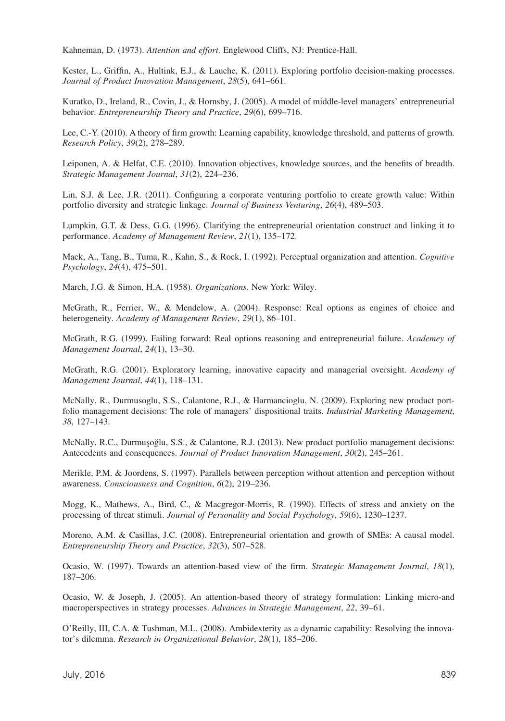Kahneman, D. (1973). *Attention and effort*. Englewood Cliffs, NJ: Prentice-Hall.

Kester, L., Griffin, A., Hultink, E.J., & Lauche, K. (2011). Exploring portfolio decision-making processes. *Journal of Product Innovation Management*, *28*(5), 641–661.

Kuratko, D., Ireland, R., Covin, J., & Hornsby, J. (2005). A model of middle-level managers' entrepreneurial behavior. *Entrepreneurship Theory and Practice*, *29*(6), 699–716.

Lee, C.-Y. (2010). A theory of firm growth: Learning capability, knowledge threshold, and patterns of growth. *Research Policy*, *39*(2), 278–289.

Leiponen, A. & Helfat, C.E. (2010). Innovation objectives, knowledge sources, and the benefits of breadth. *Strategic Management Journal*, *31*(2), 224–236.

Lin, S.J. & Lee, J.R. (2011). Configuring a corporate venturing portfolio to create growth value: Within portfolio diversity and strategic linkage. *Journal of Business Venturing*, *26*(4), 489–503.

Lumpkin, G.T. & Dess, G.G. (1996). Clarifying the entrepreneurial orientation construct and linking it to performance. *Academy of Management Review*, *21*(1), 135–172.

Mack, A., Tang, B., Tuma, R., Kahn, S., & Rock, I. (1992). Perceptual organization and attention. *Cognitive Psychology*, *24*(4), 475–501.

March, J.G. & Simon, H.A. (1958). *Organizations*. New York: Wiley.

McGrath, R., Ferrier, W., & Mendelow, A. (2004). Response: Real options as engines of choice and heterogeneity. *Academy of Management Review*, *29*(1), 86–101.

McGrath, R.G. (1999). Failing forward: Real options reasoning and entrepreneurial failure. *Academey of Management Journal*, *24*(1), 13–30.

McGrath, R.G. (2001). Exploratory learning, innovative capacity and managerial oversight. *Academy of Management Journal*, *44*(1), 118–131.

McNally, R., Durmusoglu, S.S., Calantone, R.J., & Harmancioglu, N. (2009). Exploring new product portfolio management decisions: The role of managers' dispositional traits. *Industrial Marketing Management*, *38*, 127–143.

McNally, R.C., Durmusoğlu, S.S., & Calantone, R.J. (2013). New product portfolio management decisions: Antecedents and consequences. *Journal of Product Innovation Management*, *30*(2), 245–261.

Merikle, P.M. & Joordens, S. (1997). Parallels between perception without attention and perception without awareness. *Consciousness and Cognition*, *6*(2), 219–236.

Mogg, K., Mathews, A., Bird, C., & Macgregor-Morris, R. (1990). Effects of stress and anxiety on the processing of threat stimuli. *Journal of Personality and Social Psychology*, *59*(6), 1230–1237.

Moreno, A.M. & Casillas, J.C. (2008). Entrepreneurial orientation and growth of SMEs: A causal model. *Entrepreneurship Theory and Practice*, *32*(3), 507–528.

Ocasio, W. (1997). Towards an attention-based view of the firm. *Strategic Management Journal*, *18*(1), 187–206.

Ocasio, W. & Joseph, J. (2005). An attention-based theory of strategy formulation: Linking micro-and macroperspectives in strategy processes. *Advances in Strategic Management*, *22*, 39–61.

O'Reilly, III, C.A. & Tushman, M.L. (2008). Ambidexterity as a dynamic capability: Resolving the innovator's dilemma. *Research in Organizational Behavior*, *28*(1), 185–206.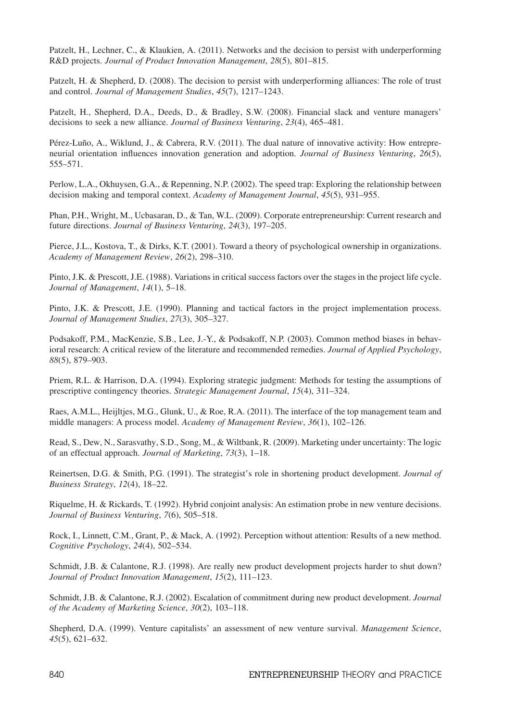Patzelt, H., Lechner, C., & Klaukien, A. (2011). Networks and the decision to persist with underperforming R&D projects. *Journal of Product Innovation Management*, *28*(5), 801–815.

Patzelt, H. & Shepherd, D. (2008). The decision to persist with underperforming alliances: The role of trust and control. *Journal of Management Studies*, *45*(7), 1217–1243.

Patzelt, H., Shepherd, D.A., Deeds, D., & Bradley, S.W. (2008). Financial slack and venture managers' decisions to seek a new alliance. *Journal of Business Venturing*, *23*(4), 465–481.

Pérez-Luño, A., Wiklund, J., & Cabrera, R.V. (2011). The dual nature of innovative activity: How entrepreneurial orientation influences innovation generation and adoption. *Journal of Business Venturing*, *26*(5), 555–571.

Perlow, L.A., Okhuysen, G.A., & Repenning, N.P. (2002). The speed trap: Exploring the relationship between decision making and temporal context. *Academy of Management Journal*, *45*(5), 931–955.

Phan, P.H., Wright, M., Ucbasaran, D., & Tan, W.L. (2009). Corporate entrepreneurship: Current research and future directions. *Journal of Business Venturing*, *24*(3), 197–205.

Pierce, J.L., Kostova, T., & Dirks, K.T. (2001). Toward a theory of psychological ownership in organizations. *Academy of Management Review*, *26*(2), 298–310.

Pinto, J.K. & Prescott, J.E. (1988). Variations in critical success factors over the stages in the project life cycle. *Journal of Management*, *14*(1), 5–18.

Pinto, J.K. & Prescott, J.E. (1990). Planning and tactical factors in the project implementation process. *Journal of Management Studies*, *27*(3), 305–327.

Podsakoff, P.M., MacKenzie, S.B., Lee, J.-Y., & Podsakoff, N.P. (2003). Common method biases in behavioral research: A critical review of the literature and recommended remedies. *Journal of Applied Psychology*, *88*(5), 879–903.

Priem, R.L. & Harrison, D.A. (1994). Exploring strategic judgment: Methods for testing the assumptions of prescriptive contingency theories. *Strategic Management Journal*, *15*(4), 311–324.

Raes, A.M.L., Heijltjes, M.G., Glunk, U., & Roe, R.A. (2011). The interface of the top management team and middle managers: A process model. *Academy of Management Review*, *36*(1), 102–126.

Read, S., Dew, N., Sarasvathy, S.D., Song, M., & Wiltbank, R. (2009). Marketing under uncertainty: The logic of an effectual approach. *Journal of Marketing*, *73*(3), 1–18.

Reinertsen, D.G. & Smith, P.G. (1991). The strategist's role in shortening product development. *Journal of Business Strategy*, *12*(4), 18–22.

Riquelme, H. & Rickards, T. (1992). Hybrid conjoint analysis: An estimation probe in new venture decisions. *Journal of Business Venturing*, *7*(6), 505–518.

Rock, I., Linnett, C.M., Grant, P., & Mack, A. (1992). Perception without attention: Results of a new method. *Cognitive Psychology*, *24*(4), 502–534.

Schmidt, J.B. & Calantone, R.J. (1998). Are really new product development projects harder to shut down? *Journal of Product Innovation Management*, *15*(2), 111–123.

Schmidt, J.B. & Calantone, R.J. (2002). Escalation of commitment during new product development. *Journal of the Academy of Marketing Science*, *30*(2), 103–118.

Shepherd, D.A. (1999). Venture capitalists' an assessment of new venture survival. *Management Science*, *45*(5), 621–632.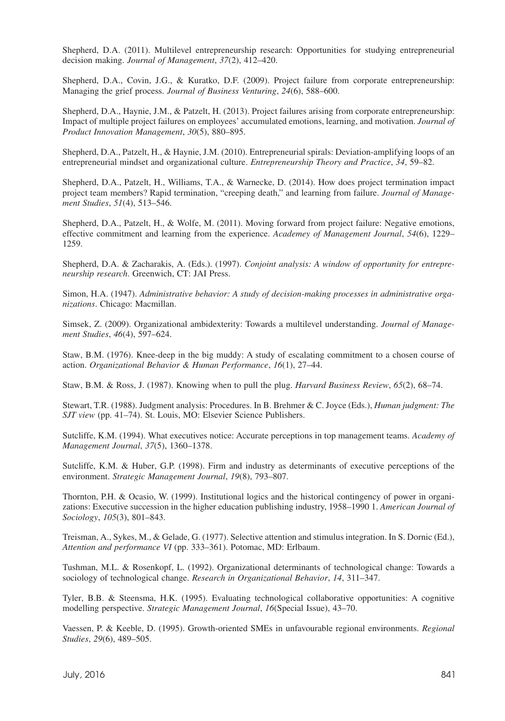Shepherd, D.A. (2011). Multilevel entrepreneurship research: Opportunities for studying entrepreneurial decision making. *Journal of Management*, *37*(2), 412–420.

Shepherd, D.A., Covin, J.G., & Kuratko, D.F. (2009). Project failure from corporate entrepreneurship: Managing the grief process. *Journal of Business Venturing*, *24*(6), 588–600.

Shepherd, D.A., Haynie, J.M., & Patzelt, H. (2013). Project failures arising from corporate entrepreneurship: Impact of multiple project failures on employees' accumulated emotions, learning, and motivation. *Journal of Product Innovation Management*, *30*(5), 880–895.

Shepherd, D.A., Patzelt, H., & Haynie, J.M. (2010). Entrepreneurial spirals: Deviation-amplifying loops of an entrepreneurial mindset and organizational culture. *Entrepreneurship Theory and Practice*, *34*, 59–82.

Shepherd, D.A., Patzelt, H., Williams, T.A., & Warnecke, D. (2014). How does project termination impact project team members? Rapid termination, "creeping death," and learning from failure. *Journal of Management Studies*, *51*(4), 513–546.

Shepherd, D.A., Patzelt, H., & Wolfe, M. (2011). Moving forward from project failure: Negative emotions, effective commitment and learning from the experience. *Academey of Management Journal*, *54*(6), 1229– 1259.

Shepherd, D.A. & Zacharakis, A. (Eds.). (1997). *Conjoint analysis: A window of opportunity for entrepreneurship research*. Greenwich, CT: JAI Press.

Simon, H.A. (1947). *Administrative behavior: A study of decision-making processes in administrative organizations*. Chicago: Macmillan.

Simsek, Z. (2009). Organizational ambidexterity: Towards a multilevel understanding. *Journal of Management Studies*, *46*(4), 597–624.

Staw, B.M. (1976). Knee-deep in the big muddy: A study of escalating commitment to a chosen course of action. *Organizational Behavior & Human Performance*, *16*(1), 27–44.

Staw, B.M. & Ross, J. (1987). Knowing when to pull the plug. *Harvard Business Review*, *65*(2), 68–74.

Stewart, T.R. (1988). Judgment analysis: Procedures. In B. Brehmer & C. Joyce (Eds.), *Human judgment: The SJT view* (pp. 41–74). St. Louis, MO: Elsevier Science Publishers.

Sutcliffe, K.M. (1994). What executives notice: Accurate perceptions in top management teams. *Academy of Management Journal*, *37*(5), 1360–1378.

Sutcliffe, K.M. & Huber, G.P. (1998). Firm and industry as determinants of executive perceptions of the environment. *Strategic Management Journal*, *19*(8), 793–807.

Thornton, P.H. & Ocasio, W. (1999). Institutional logics and the historical contingency of power in organizations: Executive succession in the higher education publishing industry, 1958–1990 1. *American Journal of Sociology*, *105*(3), 801–843.

Treisman, A., Sykes, M., & Gelade, G. (1977). Selective attention and stimulus integration. In S. Dornic (Ed.), *Attention and performance VI* (pp. 333–361). Potomac, MD: Erlbaum.

Tushman, M.L. & Rosenkopf, L. (1992). Organizational determinants of technological change: Towards a sociology of technological change. *Research in Organizational Behavior*, *14*, 311–347.

Tyler, B.B. & Steensma, H.K. (1995). Evaluating technological collaborative opportunities: A cognitive modelling perspective. *Strategic Management Journal*, *16*(Special Issue), 43–70.

Vaessen, P. & Keeble, D. (1995). Growth-oriented SMEs in unfavourable regional environments. *Regional Studies*, *29*(6), 489–505.